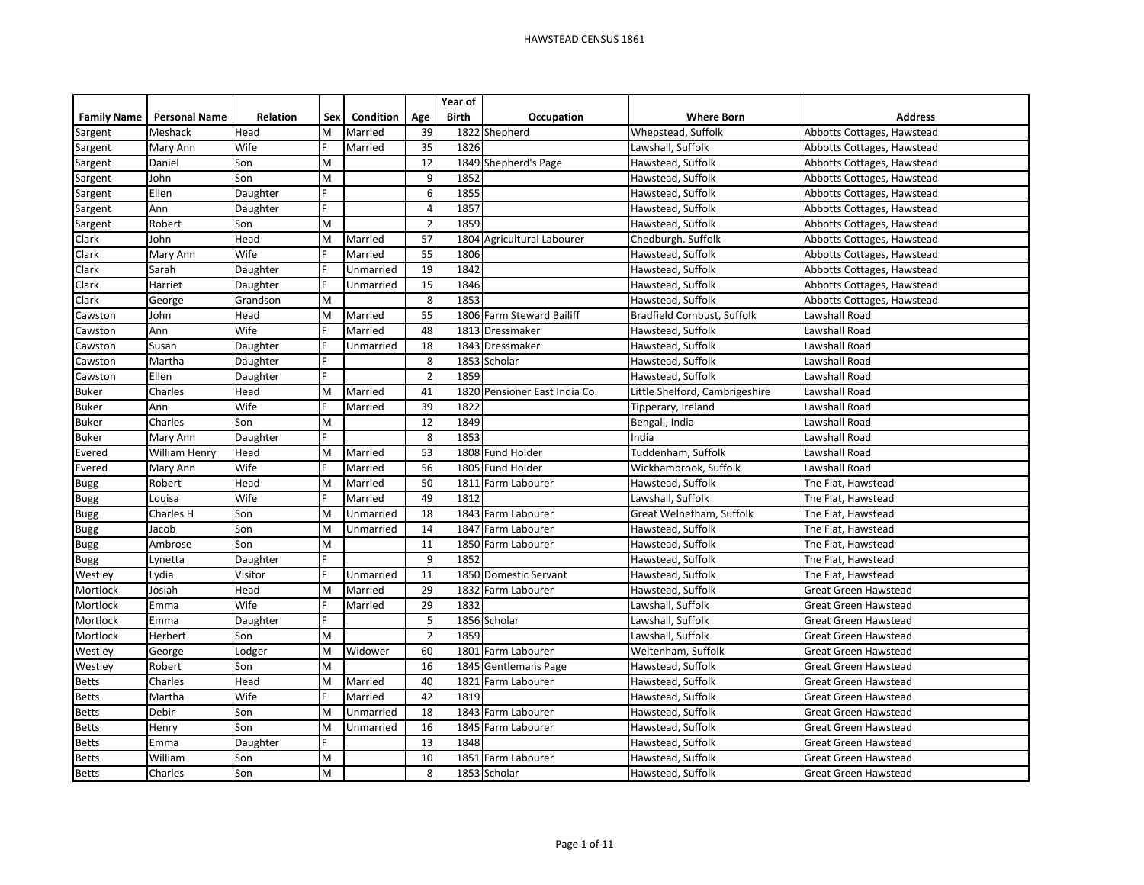|                    |                      |          |     |                  |                | Year of      |                               |                                |                             |
|--------------------|----------------------|----------|-----|------------------|----------------|--------------|-------------------------------|--------------------------------|-----------------------------|
| <b>Family Name</b> | <b>Personal Name</b> | Relation | Sex | <b>Condition</b> | Age            | <b>Birth</b> | Occupation                    | <b>Where Born</b>              | <b>Address</b>              |
| Sargent            | Meshack              | Head     | M   | Married          | 39             |              | 1822 Shepherd                 | Whepstead, Suffolk             | Abbotts Cottages, Hawstead  |
| Sargent            | Mary Ann             | Wife     |     | Married          | 35             | 1826         |                               | Lawshall, Suffolk              | Abbotts Cottages, Hawstead  |
| Sargent            | Daniel               | Son      | M   |                  | 12             |              | 1849 Shepherd's Page          | Hawstead, Suffolk              | Abbotts Cottages, Hawstead  |
| Sargent            | John                 | Son      | M   |                  | 9              | 1852         |                               | Hawstead, Suffolk              | Abbotts Cottages, Hawstead  |
| Sargent            | Ellen                | Daughter | E   |                  | $6\phantom{1}$ | 1855         |                               | Hawstead, Suffolk              | Abbotts Cottages, Hawstead  |
| Sargent            | Ann                  | Daughter |     |                  | $\overline{4}$ | 1857         |                               | Hawstead, Suffolk              | Abbotts Cottages, Hawstead  |
| Sargent            | Robert               | Son      | M   |                  | $\overline{2}$ | 1859         |                               | Hawstead, Suffolk              | Abbotts Cottages, Hawstead  |
| Clark              | John                 | Head     | M   | Married          | 57             |              | 1804 Agricultural Labourer    | Chedburgh. Suffolk             | Abbotts Cottages, Hawstead  |
| Clark              | Mary Ann             | Wife     |     | Married          | 55             | 1806         |                               | Hawstead, Suffolk              | Abbotts Cottages, Hawstead  |
| Clark              | Sarah                | Daughter |     | Unmarried        | 19             | 1842         |                               | Hawstead, Suffolk              | Abbotts Cottages, Hawstead  |
| Clark              | Harriet              | Daughter |     | Unmarried        | 15             | 1846         |                               | Hawstead, Suffolk              | Abbotts Cottages, Hawstead  |
| Clark              | George               | Grandson | M   |                  | 8              | 1853         |                               | Hawstead, Suffolk              | Abbotts Cottages, Hawstead  |
| Cawston            | John                 | Head     | M   | Married          | 55             |              | 1806 Farm Steward Bailiff     | Bradfield Combust, Suffolk     | Lawshall Road               |
| Cawston            | Ann                  | Wife     |     | Married          | 48             |              | 1813 Dressmaker               | Hawstead, Suffolk              | Lawshall Road               |
| Cawston            | Susan                | Daughter |     | Unmarried        | 18             |              | 1843 Dressmaker               | Hawstead, Suffolk              | awshall Road                |
| Cawston            | Martha               | Daughter |     |                  | 8              |              | 1853 Scholar                  | Hawstead, Suffolk              | Lawshall Road               |
| Cawston            | Ellen                | Daughter |     |                  | $\overline{2}$ | 1859         |                               | Hawstead, Suffolk              | Lawshall Road               |
| <b>Buker</b>       | Charles              | Head     | M   | Married          | 41             |              | 1820 Pensioner East India Co. | Little Shelford, Cambrigeshire | Lawshall Road               |
| <b>Buker</b>       | Ann                  | Wife     |     | Married          | 39             | 1822         |                               | Tipperary, Ireland             | Lawshall Road               |
| <b>Buker</b>       | Charles              | Son      | M   |                  | 12             | 1849         |                               | Bengall, India                 | Lawshall Road               |
| <b>Buker</b>       | Mary Ann             | Daughter |     |                  | 8              | 1853         |                               | India                          | Lawshall Road               |
| Evered             | William Henry        | Head     | M   | Married          | 53             |              | 1808 Fund Holder              | Tuddenham, Suffolk             | Lawshall Road               |
| Evered             | Mary Ann             | Wife     |     | Married          | 56             |              | 1805 Fund Holder              | Wickhambrook, Suffolk          | Lawshall Road               |
| <b>Bugg</b>        | Robert               | Head     | M   | Married          | 50             |              | 1811 Farm Labourer            | Hawstead, Suffolk              | The Flat, Hawstead          |
| <b>Bugg</b>        | Louisa               | Wife     |     | Married          | 49             | 1812         |                               | Lawshall, Suffolk              | The Flat, Hawstead          |
| <b>Bugg</b>        | Charles H            | Son      | M   | Unmarried        | 18             |              | 1843 Farm Labourer            | Great Welnetham, Suffolk       | The Flat, Hawstead          |
| <b>Bugg</b>        | Jacob                | Son      | M   | Unmarried        | 14             |              | 1847 Farm Labourer            | Hawstead, Suffolk              | The Flat, Hawstead          |
| <b>Bugg</b>        | Ambrose              | Son      | M   |                  | 11             |              | 1850 Farm Labourer            | Hawstead, Suffolk              | The Flat, Hawstead          |
| <b>Bugg</b>        | Lynetta              | Daughter | F   |                  | 9              | 1852         |                               | Hawstead, Suffolk              | The Flat, Hawstead          |
| Westley            | Lydia                | Visitor  |     | Unmarried        | 11             |              | 1850 Domestic Servant         | Hawstead, Suffolk              | The Flat, Hawstead          |
| Mortlock           | Josiah               | Head     | M   | Married          | 29             |              | 1832 Farm Labourer            | Hawstead, Suffolk              | Great Green Hawstead        |
| Mortlock           | Emma                 | Wife     |     | Married          | 29             | 1832         |                               | Lawshall, Suffolk              | Great Green Hawstead        |
| Mortlock           | Emma                 | Daughter |     |                  | 5              |              | 1856 Scholar                  | Lawshall, Suffolk              | Great Green Hawstead        |
| Mortlock           | Herbert              | Son      | M   |                  | $\overline{2}$ | 1859         |                               | Lawshall, Suffolk              | Great Green Hawstead        |
| Westley            | George               | Lodger   | M   | Widower          | 60             |              | 1801 Farm Labourer            | Weltenham, Suffolk             | <b>Great Green Hawstead</b> |
| Westley            | Robert               | Son      | M   |                  | 16             |              | 1845 Gentlemans Page          | Hawstead, Suffolk              | <b>Great Green Hawstead</b> |
| Betts              | Charles              | Head     | M   | Married          | 40             | 1821         | Farm Labourer                 | Hawstead, Suffolk              | Great Green Hawstead        |
| <b>Betts</b>       | Martha               | Wife     | E   | Married          | 42             | 1819         |                               | Hawstead, Suffolk              | Great Green Hawstead        |
| <b>Betts</b>       | Debir                | Son      | M   | Unmarried        | 18             |              | 1843 Farm Labourer            | Hawstead, Suffolk              | <b>Great Green Hawstead</b> |
| <b>Betts</b>       | Henry                | Son      | M   | Unmarried        | 16             |              | 1845 Farm Labourer            | Hawstead, Suffolk              | Great Green Hawstead        |
| <b>Betts</b>       | Emma                 | Daughter | F   |                  | 13             | 1848         |                               | Hawstead, Suffolk              | Great Green Hawstead        |
| <b>Betts</b>       | William              | Son      | M   |                  | 10             | 1851         | Farm Labourer                 | Hawstead, Suffolk              | Great Green Hawstead        |
| <b>Betts</b>       | Charles              | Son      | M   |                  | 8              |              | 1853 Scholar                  | Hawstead, Suffolk              | <b>Great Green Hawstead</b> |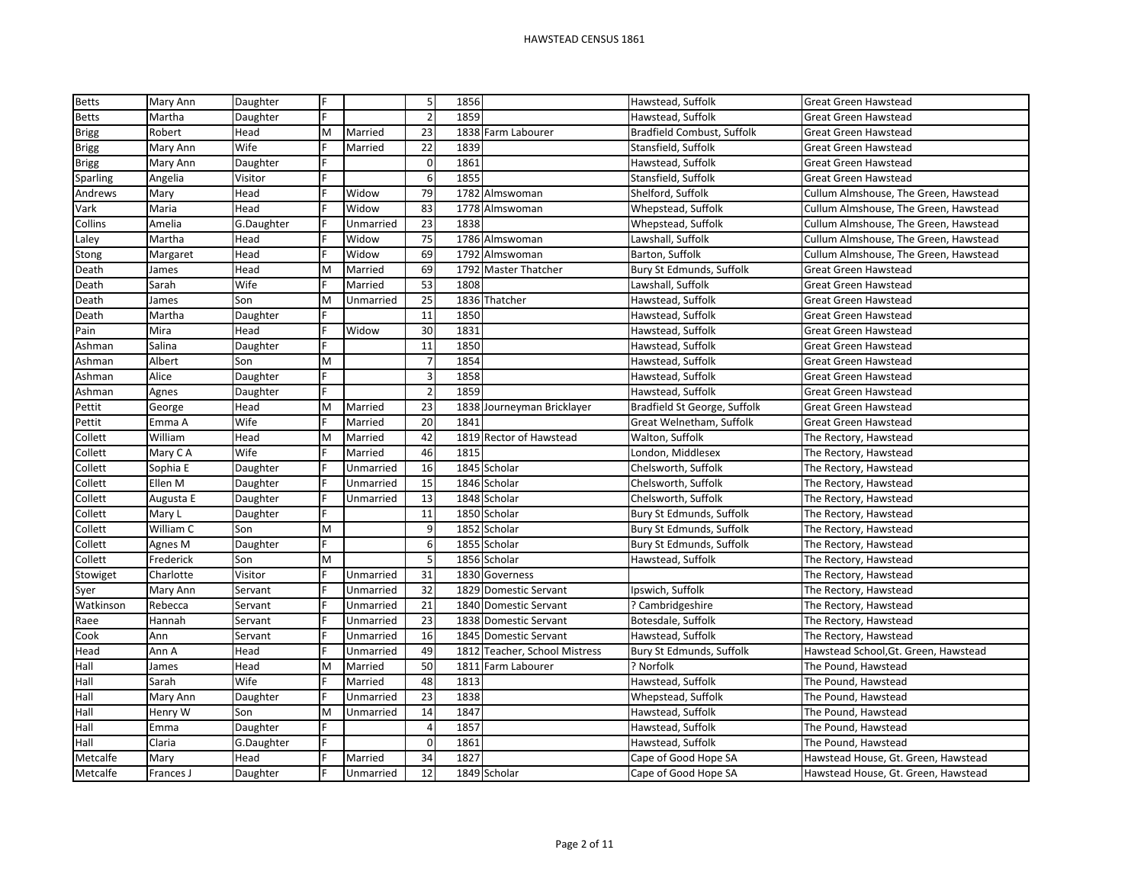| <b>Betts</b>       | Mary Ann  | Daughter   |   |           | 5 <sub>l</sub> | 1856                             | Hawstead, Suffolk            | Great Green Hawstead                  |
|--------------------|-----------|------------|---|-----------|----------------|----------------------------------|------------------------------|---------------------------------------|
| Betts              | Martha    | Daughter   |   |           |                | 1859                             | Hawstead. Suffolk            | <b>Great Green Hawstead</b>           |
| <b>Brigg</b>       | Robert    | Head       | M | Married   | 23             | 1838 Farm Labourer               | Bradfield Combust, Suffolk   | Great Green Hawstead                  |
| <b>Brigg</b>       | Mary Ann  | Wife       |   | Married   | 22             | 1839                             | Stansfield, Suffolk          | Great Green Hawstead                  |
| <b>Brigg</b>       | Mary Ann  | Daughter   |   |           | $\Omega$       | 1861                             | Hawstead, Suffolk            | <b>Great Green Hawstead</b>           |
| Sparling           | Angelia   | Visitor    |   |           | 6              | 1855                             | Stansfield, Suffolk          | Great Green Hawstead                  |
| Andrews            | Mary      | Head       |   | Widow     | 79             | 1782 Almswoman                   | Shelford, Suffolk            | Cullum Almshouse, The Green, Hawstead |
| Vark               | Maria     | Head       |   | Widow     | 83             | 1778 Almswoman                   | Whepstead, Suffolk           | Cullum Almshouse, The Green, Hawstead |
| Collins            | Amelia    | G.Daughter |   | Unmarried | 23             | 1838                             | Whepstead, Suffolk           | Cullum Almshouse, The Green, Hawstead |
| Laley              | Martha    | Head       |   | Widow     | 75             | 1786 Almswoman                   | Lawshall, Suffolk            | Cullum Almshouse, The Green, Hawstead |
| Stong              | Margaret  | Head       |   | Widow     | 69             | 1792 Almswoman                   | Barton, Suffolk              | Cullum Almshouse, The Green, Hawstead |
| Death              | James     | Head       | M | Married   | 69             | 1792 Master Thatcher             | Bury St Edmunds, Suffolk     | Great Green Hawstead                  |
| Death              | Sarah     | Wife       |   | Married   | 53             | 1808                             | Lawshall, Suffolk            | Great Green Hawstead                  |
| Death              | James     | Son        | M | Unmarried | 25             | 1836 Thatcher                    | Hawstead, Suffolk            | Great Green Hawstead                  |
| Death              | Martha    | Daughter   |   |           | 11             | 1850                             | Hawstead, Suffolk            | Great Green Hawstead                  |
| $\overline{P}$ ain | Mira      | Head       |   | Widow     | 30             | 1831                             | Hawstead, Suffolk            | Great Green Hawstead                  |
| Ashman             | Salina    | Daughter   |   |           | 11             | 1850                             | Hawstead, Suffolk            | Great Green Hawstead                  |
| Ashman             | Albert    | Son        | M |           |                | 1854                             | Hawstead, Suffolk            | Great Green Hawstead                  |
| Ashman             | Alice     | Daughter   |   |           | 3              | 1858                             | Hawstead, Suffolk            | Great Green Hawstead                  |
| Ashman             | Agnes     | Daughter   |   |           | $\mathcal{P}$  | 1859                             | Hawstead, Suffolk            | Great Green Hawstead                  |
| Pettit             | George    | Head       | M | Married   | 23             | 1838 Journeyman Bricklayer       | Bradfield St George, Suffolk | Great Green Hawstead                  |
| Pettit             | Emma A    | Wife       |   | Married   | 20             | 1841                             | Great Welnetham, Suffolk     | Great Green Hawstead                  |
| Collett            | William   | Head       | M | Married   | 42             | 1819 Rector of Hawstead          | Walton, Suffolk              | The Rectory, Hawstead                 |
| Collett            | Mary CA   | Wife       |   | Married   | 46             | 1815                             | London, Middlesex            | The Rectory, Hawstead                 |
| Collett            | Sophia E  | Daughter   |   | Unmarried | 16             | 1845 Scholar                     | Chelsworth, Suffolk          | The Rectory, Hawstead                 |
| Collett            | Ellen M   | Daughter   |   | Unmarried | 15             | 1846 Scholar                     | Chelsworth, Suffolk          | The Rectory, Hawstead                 |
| Collett            | Augusta E | Daughter   |   | Unmarried | 13             | 1848 Scholar                     | Chelsworth, Suffolk          | The Rectory, Hawstead                 |
| Collett            | Mary L    | Daughter   |   |           | 11             | 1850 Scholar                     | Bury St Edmunds, Suffolk     | The Rectory, Hawstead                 |
| Collett            | William C | Son        | M |           | $\mathsf q$    | 1852 Scholar                     | Bury St Edmunds, Suffolk     | The Rectory, Hawstead                 |
| Collett            | Agnes M   | Daughter   |   |           |                | 1855 Scholar                     | Bury St Edmunds, Suffolk     | The Rectory, Hawstead                 |
| Collett            | Frederick | Son        | M |           | 5              | 1856 Scholar                     | Hawstead, Suffolk            | The Rectory, Hawstead                 |
| Stowiget           | Charlotte | Visitor    |   | Unmarried | 31             | 1830 Governess                   |                              | The Rectory, Hawstead                 |
| Syer               | Mary Ann  | Servant    |   | Unmarried | 32             | 1829 Domestic Servant            | Ipswich, Suffolk             | The Rectory, Hawstead                 |
| Watkinson          | Rebecca   | Servant    |   | Unmarried | 21             | 1840 Domestic Servant            | ? Cambridgeshire             | The Rectory, Hawstead                 |
| Raee               | Hannah    | Servant    |   | Unmarried | 23             | 1838 Domestic Servant            | Botesdale, Suffolk           | The Rectory, Hawstead                 |
| Cook               | Ann       | Servant    |   | Unmarried | 16             | 1845 Domestic Servant            | Hawstead, Suffolk            | The Rectory, Hawstead                 |
| Head               | Ann A     | Head       |   | Unmarried | 49             | 1812<br>Teacher, School Mistress | Bury St Edmunds, Suffolk     | Hawstead School, Gt. Green, Hawstead  |
| Hall               | James     | Head       | M | Married   | 50             | 1811 Farm Labourer               | ? Norfolk                    | The Pound, Hawstead                   |
| Hall               | Sarah     | Wife       |   | Married   | 48             | 1813                             | Hawstead, Suffolk            | The Pound, Hawstead                   |
| Hall               | Mary Ann  | Daughter   |   | Unmarried | 23             | 1838                             | Whepstead, Suffolk           | The Pound, Hawstead                   |
| Hall               | Henry W   | Son        | M | Unmarried | 14             | 1847                             | Hawstead, Suffolk            | The Pound, Hawstead                   |
| Hall               | Emma      | Daughter   |   |           |                | 1857                             | Hawstead, Suffolk            | The Pound, Hawstead                   |
| Hall               | Claria    | G.Daughter |   |           | $\mathbf 0$    | 1861                             | Hawstead, Suffolk            | The Pound, Hawstead                   |
| Metcalfe           | Mary      | Head       |   | Married   | 34             | 1827                             | Cape of Good Hope SA         | Hawstead House, Gt. Green, Hawstead   |
| Metcalfe           | Frances J | Daughter   |   | Unmarried | 12             | 1849 Scholar                     | Cape of Good Hope SA         | Hawstead House, Gt. Green, Hawstead   |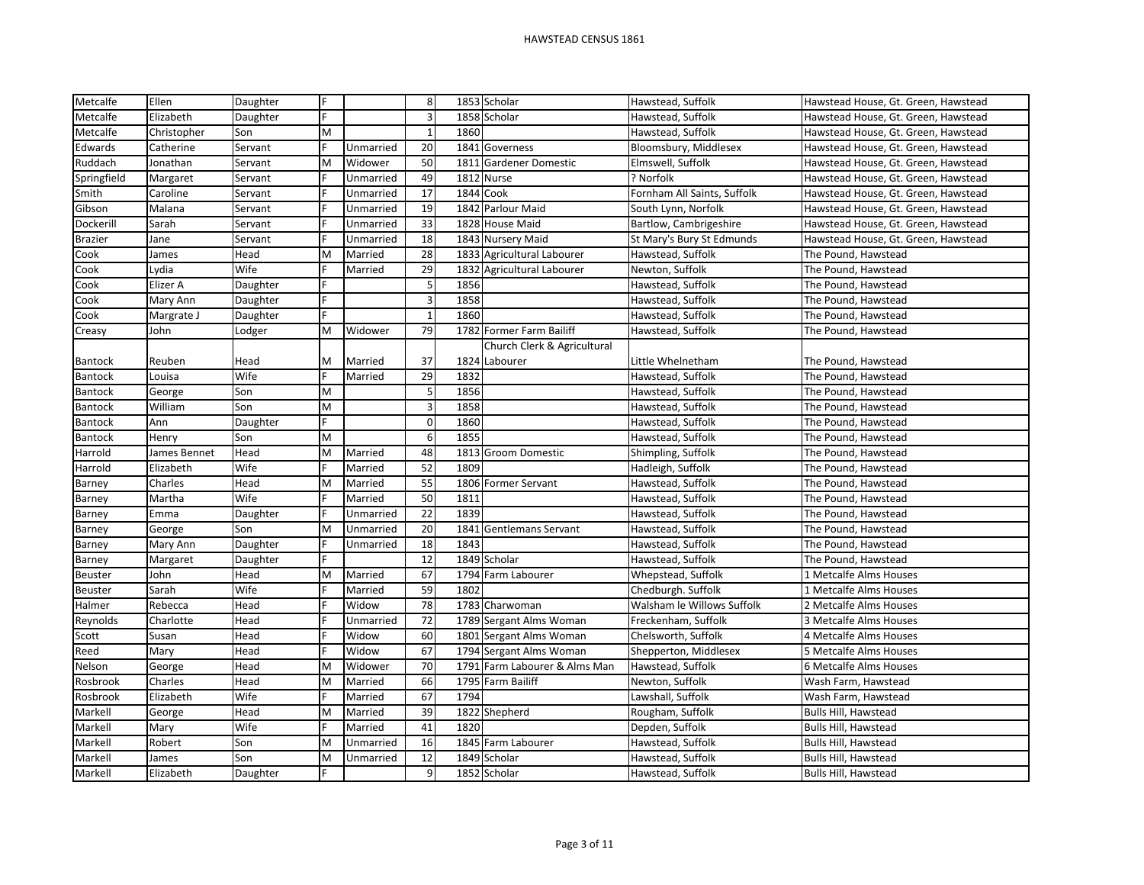## HAWSTEAD CENSUS 1861

| Metcalfe       | Ellen        | Daughter |   |           | 8              |      | 1853 Scholar                  | Hawstead, Suffolk           | Hawstead House, Gt. Green, Hawstead |
|----------------|--------------|----------|---|-----------|----------------|------|-------------------------------|-----------------------------|-------------------------------------|
| Metcalfe       | Elizabeth    | Daughter |   |           | $\overline{3}$ |      | 1858 Scholar                  | Hawstead, Suffolk           | Hawstead House, Gt. Green, Hawstead |
| Metcalfe       | Christopher  | Son      | M |           | $\mathbf{1}$   | 1860 |                               | Hawstead, Suffolk           | Hawstead House, Gt. Green, Hawstead |
| Edwards        | Catherine    | Servant  |   | Unmarried | 20             |      | 1841 Governess                | Bloomsbury, Middlesex       | Hawstead House, Gt. Green, Hawstead |
| Ruddach        | Jonathan     | Servant  | M | Widower   | 50             |      | 1811 Gardener Domestic        | Elmswell, Suffolk           | Hawstead House, Gt. Green, Hawstead |
| Springfield    | Margaret     | Servant  |   | Unmarried | 49             |      | 1812 Nurse                    | ? Norfolk                   | Hawstead House, Gt. Green, Hawstead |
| Smith          | Caroline     | Servant  |   | Unmarried | 17             |      | 1844 Cook                     | Fornham All Saints, Suffolk | Hawstead House, Gt. Green, Hawstead |
| Gibson         | Malana       | Servant  |   | Unmarried | 19             |      | 1842 Parlour Maid             | South Lynn, Norfolk         | Hawstead House, Gt. Green, Hawstead |
| Dockerill      | Sarah        | Servant  |   | Unmarried | 33             |      | 1828 House Maid               | Bartlow, Cambrigeshire      | Hawstead House, Gt. Green, Hawstead |
| <b>Brazier</b> | Jane         | Servant  |   | Unmarried | 18             |      | 1843 Nursery Maid             | St Mary's Bury St Edmunds   | Hawstead House, Gt. Green, Hawstead |
| Cook           | James        | Head     | M | Married   | 28             |      | 1833 Agricultural Labourer    | Hawstead, Suffolk           | The Pound, Hawstead                 |
| Cook           | Lydia        | Wife     |   | Married   | 29             |      | 1832 Agricultural Labourer    | Newton, Suffolk             | The Pound, Hawstead                 |
| Cook           | Elizer A     | Daughter |   |           | 5 <sup>1</sup> | 1856 |                               | Hawstead, Suffolk           | The Pound, Hawstead                 |
| Cook           | Mary Ann     | Daughter |   |           | 3              | 1858 |                               | Hawstead, Suffolk           | The Pound, Hawstead                 |
| Cook           | Margrate J   | Daughter |   |           | $\mathbf{1}$   | 1860 |                               | Hawstead, Suffolk           | The Pound, Hawstead                 |
| Creasy         | John         | Lodger   | м | Widower   | 79             |      | 1782 Former Farm Bailiff      | Hawstead, Suffolk           | The Pound, Hawstead                 |
|                |              |          |   |           |                |      | Church Clerk & Agricultural   |                             |                                     |
| <b>Bantock</b> | Reuben       | Head     | М | Married   | 37             |      | 1824 Labourer                 | Little Whelnetham           | The Pound, Hawstead                 |
| <b>Bantock</b> | Louisa       | Wife     |   | Married   | 29             | 1832 |                               | Hawstead, Suffolk           | The Pound, Hawstead                 |
| <b>Bantock</b> | George       | Son      | M |           | 5              | 1856 |                               | Hawstead, Suffolk           | The Pound, Hawstead                 |
| Bantock        | William      | Son      | M |           | $\overline{3}$ | 1858 |                               | Hawstead, Suffolk           | The Pound, Hawstead                 |
| Bantock        | Ann          | Daughter |   |           | $\mathbf{0}$   | 1860 |                               | Hawstead, Suffolk           | The Pound, Hawstead                 |
| Bantock        | Henry        | Son      | M |           | $6 \mid$       | 1855 |                               | Hawstead, Suffolk           | The Pound, Hawstead                 |
| Harrold        | James Bennet | Head     | M | Married   | 48             |      | 1813 Groom Domestic           | Shimpling, Suffolk          | The Pound, Hawstead                 |
| Harrold        | Elizabeth    | Wife     |   | Married   | 52             | 1809 |                               | Hadleigh, Suffolk           | The Pound, Hawstead                 |
| Barney         | Charles      | Head     | М | Married   | 55             |      | 1806 Former Servant           | Hawstead, Suffolk           | The Pound, Hawstead                 |
| Barney         | Martha       | Wife     |   | Married   | 50             | 1811 |                               | Hawstead, Suffolk           | The Pound, Hawstead                 |
| Barney         | Emma         | Daughter |   | Unmarried | 22             | 1839 |                               | Hawstead, Suffolk           | The Pound, Hawstead                 |
| Barney         | George       | Son      | М | Unmarried | 20             |      | 1841 Gentlemans Servant       | Hawstead, Suffolk           | The Pound, Hawstead                 |
| Barney         | Mary Ann     | Daughter |   | Unmarried | 18             | 1843 |                               | Hawstead, Suffolk           | The Pound, Hawstead                 |
| Barney         | Margaret     | Daughter |   |           | 12             |      | 1849 Scholar                  | Hawstead, Suffolk           | The Pound, Hawstead                 |
| <b>Beuster</b> | John         | Head     | М | Married   | 67             |      | 1794 Farm Labourer            | Whepstead, Suffolk          | 1 Metcalfe Alms Houses              |
| <b>Beuster</b> | Sarah        | Wife     |   | Married   | 59             | 1802 |                               | Chedburgh. Suffolk          | 1 Metcalfe Alms Houses              |
| Halmer         | Rebecca      | Head     |   | Widow     | 78             |      | 1783 Charwoman                | Walsham le Willows Suffolk  | 2 Metcalfe Alms Houses              |
| Reynolds       | Charlotte    | Head     |   | Unmarried | 72             |      | 1789 Sergant Alms Woman       | Freckenham, Suffolk         | 3 Metcalfe Alms Houses              |
| Scott          | Susan        | Head     |   | Widow     | 60             |      | 1801 Sergant Alms Woman       | Chelsworth, Suffolk         | 4 Metcalfe Alms Houses              |
| Reed           | Mary         | Head     |   | Widow     | 67             |      | 1794 Sergant Alms Woman       | Shepperton, Middlesex       | 5 Metcalfe Alms Houses              |
| Nelson         | George       | Head     | м | Widower   | 70             |      | 1791 Farm Labourer & Alms Man | Hawstead, Suffolk           | 6 Metcalfe Alms Houses              |
| Rosbrook       | Charles      | Head     | M | Married   | 66             |      | 1795 Farm Bailiff             | Newton, Suffolk             | Wash Farm, Hawstead                 |
| Rosbrook       | Elizabeth    | Wife     |   | Married   | 67             | 1794 |                               | Lawshall, Suffolk           | Wash Farm, Hawstead                 |
| Markell        | George       | Head     | м | Married   | 39             |      | 1822 Shepherd                 | Rougham, Suffolk            | Bulls Hill, Hawstead                |
| Markell        | Mary         | Wife     |   | Married   | 41             | 1820 |                               | Depden, Suffolk             | <b>Bulls Hill, Hawstead</b>         |
| Markell        | Robert       | Son      | M | Unmarried | 16             |      | 1845 Farm Labourer            | Hawstead, Suffolk           | Bulls Hill, Hawstead                |
| Markell        | James        | Son      | М | Unmarried | 12             |      | 1849 Scholar                  | Hawstead, Suffolk           | Bulls Hill, Hawstead                |
| Markell        | Elizabeth    | Daughter |   |           | $\mathsf{g}$   |      | 1852 Scholar                  | Hawstead, Suffolk           | Bulls Hill, Hawstead                |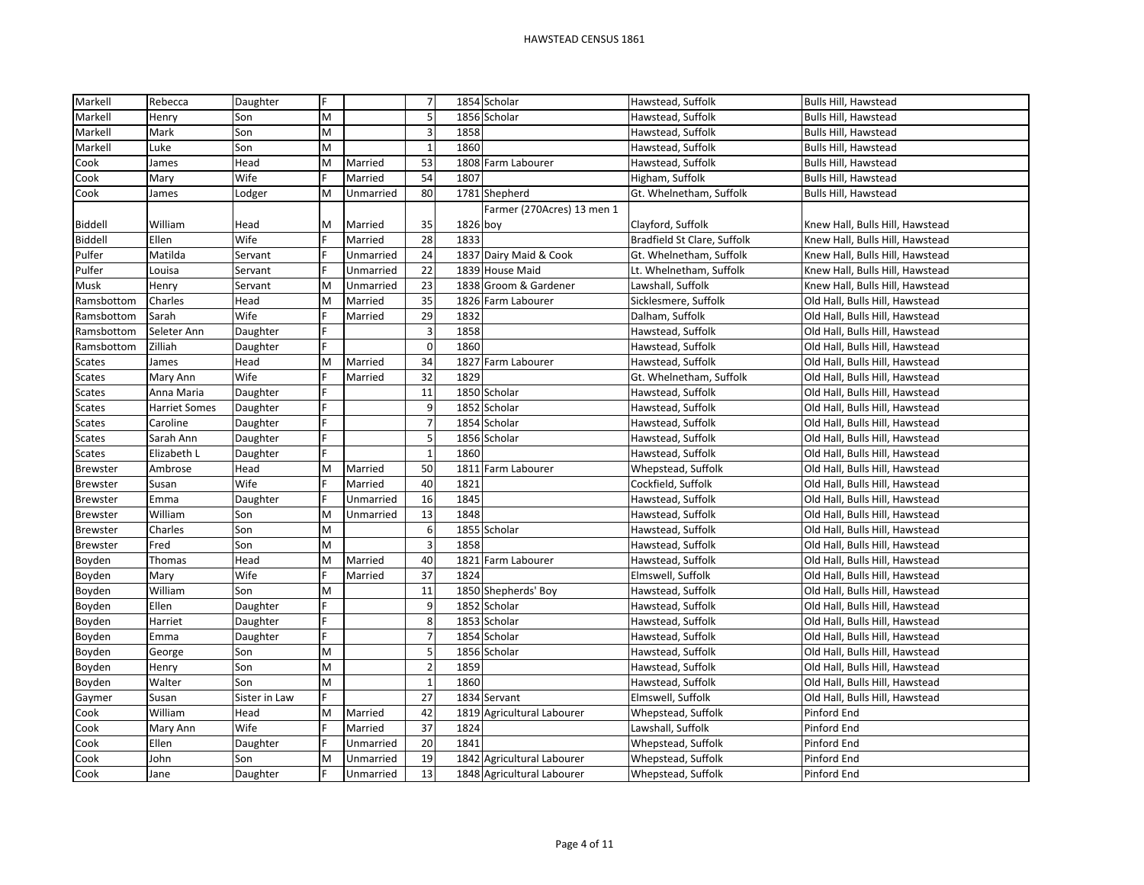| Markell         | Rebecca       | Daughter      | F |           | $\overline{7}$ |          | 1854 Scholar               | Hawstead, Suffolk           | Bulls Hill, Hawstead            |
|-----------------|---------------|---------------|---|-----------|----------------|----------|----------------------------|-----------------------------|---------------------------------|
| Markell         | Henry         | Son           | M |           | $\overline{5}$ |          | 1856 Scholar               | Hawstead, Suffolk           | <b>Bulls Hill, Hawstead</b>     |
| Markell         | Mark          | Son           | M |           | 3              | 1858     |                            | Hawstead, Suffolk           | Bulls Hill, Hawstead            |
| Markell         | Luke          | Son           | M |           | $\mathbf{1}$   | 1860     |                            | Hawstead, Suffolk           | Bulls Hill, Hawstead            |
| Cook            | James         | Head          | M | Married   | 53             |          | 1808 Farm Labourer         | Hawstead, Suffolk           | <b>Bulls Hill, Hawstead</b>     |
| Cook            | Mary          | Wife          |   | Married   | 54             | 1807     |                            | Higham, Suffolk             | Bulls Hill, Hawstead            |
| Cook            | James         | Lodger        | M | Unmarried | 80             |          | 1781 Shepherd              | Gt. Whelnetham, Suffolk     | Bulls Hill, Hawstead            |
|                 |               |               |   |           |                |          | Farmer (270Acres) 13 men 1 |                             |                                 |
| <b>Biddell</b>  | William       | Head          | M | Married   | 35             | 1826 boy |                            | Clayford, Suffolk           | Knew Hall, Bulls Hill, Hawstead |
| <b>Biddell</b>  | Ellen         | Wife          |   | Married   | 28             | 1833     |                            | Bradfield St Clare, Suffolk | Knew Hall, Bulls Hill, Hawstead |
| Pulfer          | Matilda       | Servant       |   | Unmarried | 24             |          | 1837 Dairy Maid & Cook     | Gt. Whelnetham, Suffolk     | Knew Hall, Bulls Hill, Hawstead |
| Pulfer          | Louisa        | Servant       |   | Unmarried | 22             |          | 1839 House Maid            | Lt. Whelnetham, Suffolk     | Knew Hall, Bulls Hill, Hawstead |
| Musk            | Henry         | Servant       | M | Unmarried | 23             |          | 1838 Groom & Gardener      | Lawshall, Suffolk           | Knew Hall, Bulls Hill, Hawstead |
| Ramsbottom      | Charles       | Head          | M | Married   | 35             |          | 1826 Farm Labourer         | Sicklesmere, Suffolk        | Old Hall, Bulls Hill, Hawstead  |
| Ramsbottom      | Sarah         | Wife          |   | Married   | 29             | 1832     |                            | Dalham, Suffolk             | Old Hall, Bulls Hill, Hawstead  |
| Ramsbottom      | Seleter Ann   | Daughter      |   |           | 3              | 1858     |                            | Hawstead, Suffolk           | Old Hall, Bulls Hill, Hawstead  |
| Ramsbottom      | Zilliah       | Daughter      |   |           | $\mathbf 0$    | 1860     |                            | Hawstead, Suffolk           | Old Hall, Bulls Hill, Hawstead  |
| Scates          | James         | Head          | M | Married   | 34             |          | 1827 Farm Labourer         | Hawstead, Suffolk           | Old Hall, Bulls Hill, Hawstead  |
| <b>Scates</b>   | Mary Ann      | Wife          |   | Married   | 32             | 1829     |                            | Gt. Whelnetham, Suffolk     | Old Hall, Bulls Hill, Hawstead  |
| Scates          | Anna Maria    | Daughter      |   |           | 11             |          | 1850 Scholar               | Hawstead, Suffolk           | Old Hall, Bulls Hill, Hawstead  |
| Scates          | Harriet Somes | Daughter      |   |           | 9              |          | 1852 Scholar               | Hawstead, Suffolk           | Old Hall, Bulls Hill, Hawstead  |
| <b>Scates</b>   | Caroline      | Daughter      | F |           | $\overline{7}$ |          | 1854 Scholar               | Hawstead, Suffolk           | Old Hall, Bulls Hill, Hawstead  |
| <b>Scates</b>   | Sarah Ann     | Daughter      | F |           | $\overline{5}$ |          | 1856 Scholar               | Hawstead, Suffolk           | Old Hall, Bulls Hill, Hawstead  |
| <b>Scates</b>   | Elizabeth L   | Daughter      |   |           | $\mathbf{1}$   | 1860     |                            | Hawstead, Suffolk           | Old Hall, Bulls Hill, Hawstead  |
| <b>Brewster</b> | Ambrose       | Head          | M | Married   | 50             |          | 1811 Farm Labourer         | Whepstead, Suffolk          | Old Hall, Bulls Hill, Hawstead  |
| <b>Brewster</b> | Susan         | Wife          |   | Married   | 40             | 1821     |                            | Cockfield, Suffolk          | Old Hall, Bulls Hill, Hawstead  |
| <b>Brewster</b> | Emma          | Daughter      |   | Unmarried | 16             | 1845     |                            | Hawstead, Suffolk           | Old Hall, Bulls Hill, Hawstead  |
| <b>Brewster</b> | William       | Son           | M | Unmarried | 13             | 1848     |                            | Hawstead, Suffolk           | Old Hall, Bulls Hill, Hawstead  |
| <b>Brewster</b> | Charles       | Son           | M |           | 6              |          | 1855 Scholar               | Hawstead, Suffolk           | Old Hall, Bulls Hill, Hawstead  |
| <b>Brewster</b> | Fred          | Son           | M |           | 3              | 1858     |                            | Hawstead, Suffolk           | Old Hall, Bulls Hill, Hawstead  |
| Boyden          | Thomas        | Head          | M | Married   | 40             |          | 1821 Farm Labourer         | Hawstead, Suffolk           | Old Hall, Bulls Hill, Hawstead  |
| Boyden          | Mary          | Wife          |   | Married   | 37             | 1824     |                            | Elmswell, Suffolk           | Old Hall, Bulls Hill, Hawstead  |
| Boyden          | William       | Son           | M |           | 11             |          | 1850 Shepherds' Boy        | Hawstead, Suffolk           | Old Hall, Bulls Hill, Hawstead  |
| Boyden          | Ellen         | Daughter      |   |           | 9              |          | 1852 Scholar               | Hawstead, Suffolk           | Old Hall, Bulls Hill, Hawstead  |
| Boyden          | Harriet       | Daughter      | F |           | 8              |          | 1853 Scholar               | Hawstead, Suffolk           | Old Hall, Bulls Hill, Hawstead  |
| Boyden          | Emma          | Daughter      |   |           | $\overline{7}$ |          | 1854 Scholar               | Hawstead, Suffolk           | Old Hall, Bulls Hill, Hawstead  |
| Boyden          | George        | Son           | M |           | $\overline{5}$ |          | 1856 Scholar               | Hawstead, Suffolk           | Old Hall, Bulls Hill, Hawstead  |
| Boyden          | Henry         | Son           | M |           | $\overline{2}$ | 1859     |                            | Hawstead, Suffolk           | Old Hall, Bulls Hill, Hawstead  |
| Boyden          | Walter        | Son           | M |           |                | 1860     |                            | Hawstead, Suffolk           | Old Hall, Bulls Hill, Hawstead  |
| Gaymer          | Susan         | Sister in Law |   |           | 27             |          | 1834 Servant               | Elmswell, Suffolk           | Old Hall, Bulls Hill, Hawstead  |
| Cook            | William       | Head          | M | Married   | 42             |          | 1819 Agricultural Labourer | Whepstead, Suffolk          | Pinford End                     |
| Cook            | Mary Ann      | Wife          |   | Married   | 37             | 1824     |                            | Lawshall, Suffolk           | Pinford End                     |
| Cook            | Ellen         | Daughter      |   | Unmarried | 20             | 1841     |                            | Whepstead, Suffolk          | Pinford End                     |
| Cook            | John          | Son           | M | Unmarried | 19             |          | 1842 Agricultural Labourer | Whepstead, Suffolk          | Pinford End                     |
| Cook            | Jane          | Daughter      |   | Unmarried | 13             |          | 1848 Agricultural Labourer | Whepstead, Suffolk          | Pinford End                     |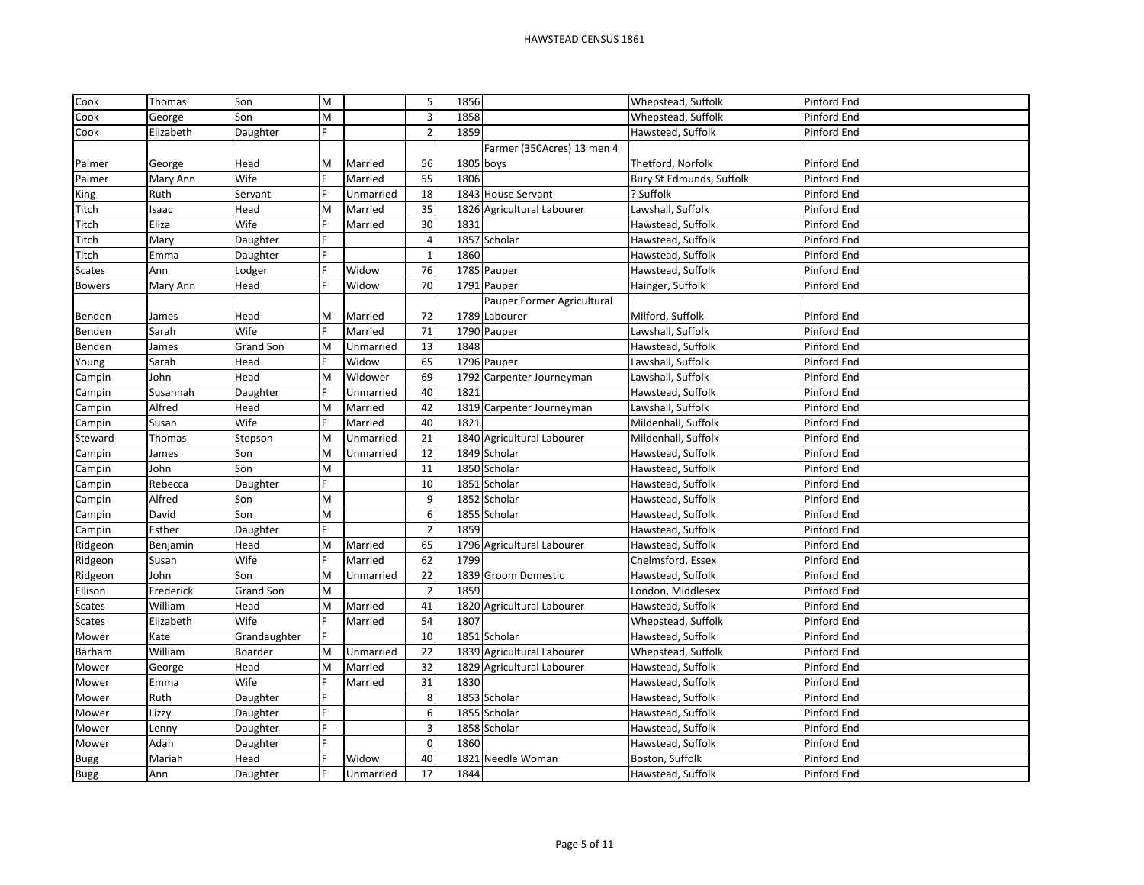| Cook          | Thomas    | Son          | M |           | $\overline{5}$   | 1856      |                            | Whepstead, Suffolk       | Pinford End |
|---------------|-----------|--------------|---|-----------|------------------|-----------|----------------------------|--------------------------|-------------|
| Cook          | George    | Son          | M |           | $\overline{3}$   | 1858      |                            | Whepstead, Suffolk       | Pinford End |
| Cook          | Elizabeth | Daughter     |   |           | $\overline{2}$   | 1859      |                            | Hawstead, Suffolk        | Pinford End |
|               |           |              |   |           |                  |           | Farmer (350Acres) 13 men 4 |                          |             |
| Palmer        | George    | Head         | М | Married   | 56               | 1805 boys |                            | Thetford, Norfolk        | Pinford End |
| Palmer        | Mary Ann  | Wife         |   | Married   | 55               | 1806      |                            | Bury St Edmunds, Suffolk | Pinford End |
| King          | Ruth      | Servant      |   | Unmarried | 18               |           | 1843 House Servant         | ? Suffolk                | Pinford End |
| Titch         | Isaac     | Head         | M | Married   | 35               |           | 1826 Agricultural Labourer | Lawshall, Suffolk        | Pinford End |
| Titch         | Eliza     | Wife         |   | Married   | 30               | 1831      |                            | Hawstead, Suffolk        | Pinford End |
| Titch         | Mary      | Daughter     |   |           | 4                |           | 1857 Scholar               | Hawstead, Suffolk        | Pinford End |
| Titch         | Emma      | Daughter     |   |           | $\mathbf{1}$     | 1860      |                            | Hawstead, Suffolk        | Pinford End |
| Scates        | Ann       | Lodger       |   | Widow     | 76               |           | 1785 Pauper                | Hawstead, Suffolk        | Pinford End |
| <b>Bowers</b> | Mary Ann  | Head         |   | Widow     | 70               |           | 1791 Pauper                | Hainger, Suffolk         | Pinford End |
|               |           |              |   |           |                  |           | Pauper Former Agricultural |                          |             |
| Benden        | James     | Head         | м | Married   | 72               |           | 1789 Labourer              | Milford, Suffolk         | Pinford End |
| Benden        | Sarah     | Wife         |   | Married   | 71               |           | 1790 Pauper                | Lawshall, Suffolk        | Pinford End |
| Benden        | James     | Grand Son    | M | Unmarried | 13               | 1848      |                            | Hawstead, Suffolk        | Pinford End |
| Young         | Sarah     | Head         |   | Widow     | 65               |           | 1796 Pauper                | Lawshall, Suffolk        | Pinford End |
| Campin        | John      | Head         | M | Widower   | 69               |           | 1792 Carpenter Journeyman  | Lawshall, Suffolk        | Pinford End |
| Campin        | Susannah  | Daughter     |   | Unmarried | 40               | 1821      |                            | Hawstead, Suffolk        | Pinford End |
| Campin        | Alfred    | Head         | M | Married   | 42               |           | 1819 Carpenter Journeyman  | Lawshall, Suffolk        | Pinford End |
| Campin        | Susan     | Wife         |   | Married   | 40               | 1821      |                            | Mildenhall, Suffolk      | Pinford End |
| Steward       | Thomas    | Stepson      | м | Unmarried | 21               |           | 1840 Agricultural Labourer | Mildenhall, Suffolk      | Pinford End |
| Campin        | James     | Son          | M | Unmarried | 12               |           | 1849 Scholar               | Hawstead, Suffolk        | Pinford End |
| Campin        | John      | Son          | M |           | 11               |           | 1850 Scholar               | Hawstead, Suffolk        | Pinford End |
| Campin        | Rebecca   | Daughter     |   |           | 10               |           | 1851 Scholar               | Hawstead, Suffolk        | Pinford End |
| Campin        | Alfred    | Son          | M |           | 9                |           | 1852 Scholar               | Hawstead, Suffolk        | Pinford End |
| Campin        | David     | Son          | M |           | 6 <sup>1</sup>   |           | 1855 Scholar               | Hawstead, Suffolk        | Pinford End |
| Campin        | Esther    | Daughter     |   |           | $\overline{2}$   | 1859      |                            | Hawstead, Suffolk        | Pinford End |
| Ridgeon       | Benjamin  | Head         | M | Married   | 65               |           | 1796 Agricultural Labourer | Hawstead, Suffolk        | Pinford End |
| Ridgeon       | Susan     | Wife         |   | Married   | 62               | 1799      |                            | Chelmsford, Essex        | Pinford End |
| Ridgeon       | John      | Son          | M | Unmarried | 22               |           | 1839 Groom Domestic        | Hawstead, Suffolk        | Pinford End |
| Ellison       | Frederick | Grand Son    | M |           | $\overline{2}$   | 1859      |                            | London, Middlesex        | Pinford End |
| Scates        | William   | Head         | M | Married   | 41               |           | 1820 Agricultural Labourer | Hawstead, Suffolk        | Pinford End |
| <b>Scates</b> | Elizabeth | Wife         |   | Married   | 54               | 1807      |                            | Whepstead, Suffolk       | Pinford End |
| Mower         | Kate      | Grandaughter |   |           | 10               |           | 1851 Scholar               | Hawstead, Suffolk        | Pinford End |
| Barham        | William   | Boarder      | M | Unmarried | 22               |           | 1839 Agricultural Labourer | Whepstead, Suffolk       | Pinford End |
| Mower         | George    | Head         | M | Married   | 32               |           | 1829 Agricultural Labourer | Hawstead, Suffolk        | Pinford End |
| Mower         | Emma      | Wife         |   | Married   | 31               | 1830      |                            | Hawstead, Suffolk        | Pinford End |
| Mower         | Ruth      | Daughter     |   |           | 8                |           | 1853 Scholar               | Hawstead, Suffolk        | Pinford End |
| Mower         | Lizzy     | Daughter     | F |           | $6 \overline{6}$ |           | 1855 Scholar               | Hawstead, Suffolk        | Pinford End |
| Mower         | Lenny     | Daughter     |   |           | 3                |           | 1858 Scholar               | Hawstead, Suffolk        | Pinford End |
| Mower         | Adah      | Daughter     |   |           | $\overline{0}$   | 1860      |                            | Hawstead, Suffolk        | Pinford End |
| Bugg          | Mariah    | Head         |   | Widow     | 40               |           | 1821 Needle Woman          | Boston, Suffolk          | Pinford End |
| <b>Bugg</b>   | Ann       | Daughter     |   | Unmarried | 17               | 1844      |                            | Hawstead, Suffolk        | Pinford End |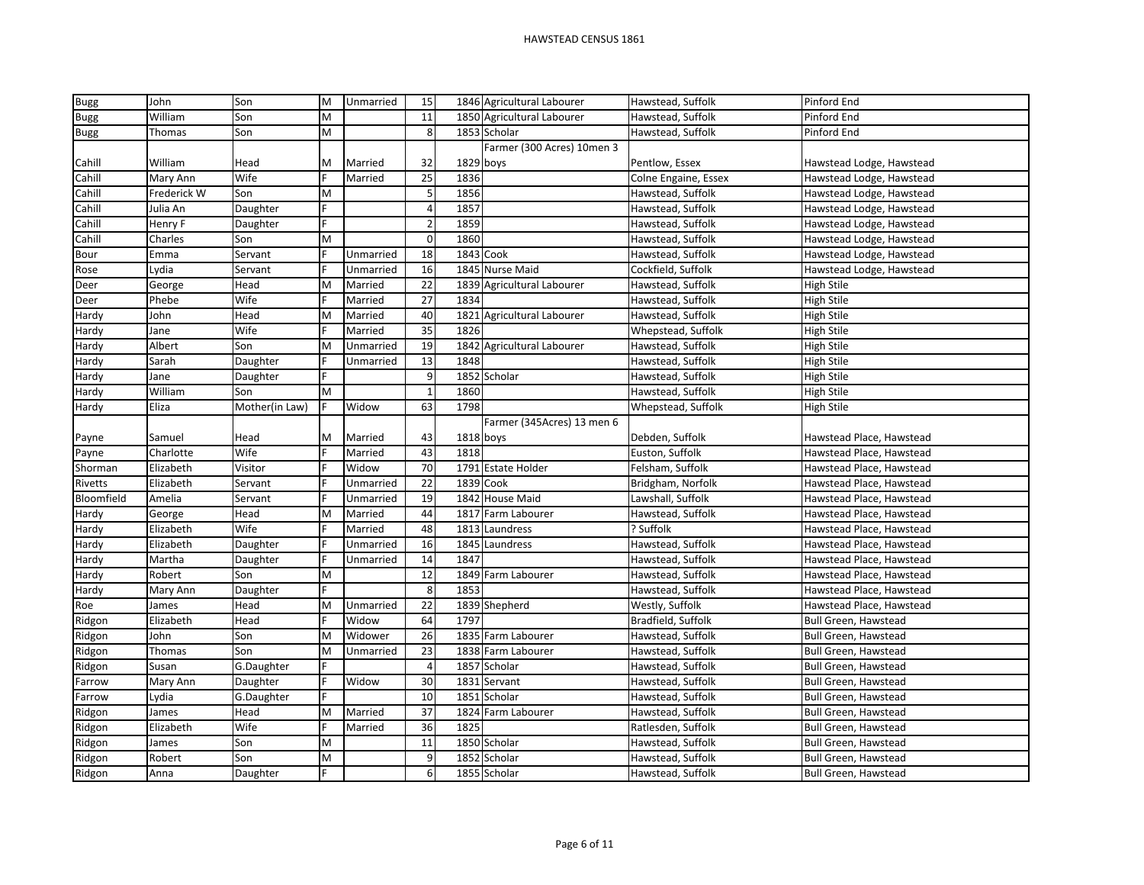## HAWSTEAD CENSUS 1861

| Bugg        | John        | Son            | M | Unmarried | 15             |           | 1846 Agricultural Labourer | Hawstead, Suffolk    | Pinford End                 |
|-------------|-------------|----------------|---|-----------|----------------|-----------|----------------------------|----------------------|-----------------------------|
| <b>Bugg</b> | William     | Son            | M |           | 11             |           | 1850 Agricultural Labourer | Hawstead, Suffolk    | Pinford End                 |
| <b>Bugg</b> | Thomas      | Son            | M |           | 8              |           | 1853 Scholar               | Hawstead, Suffolk    | Pinford End                 |
|             |             |                |   |           |                |           | Farmer (300 Acres) 10men 3 |                      |                             |
| Cahill      | William     | Head           | Μ | Married   | 32             | 1829 boys |                            | Pentlow, Essex       | Hawstead Lodge, Hawstead    |
| Cahill      | Mary Ann    | Wife           |   | Married   | 25             | 1836      |                            | Colne Engaine, Essex | Hawstead Lodge, Hawstead    |
| Cahill      | Frederick W | Son            | M |           | $\mathsf S$    | 1856      |                            | Hawstead, Suffolk    | Hawstead Lodge, Hawstead    |
| Cahill      | Julia An    | Daughter       |   |           | $\overline{4}$ | 1857      |                            | Hawstead, Suffolk    | Hawstead Lodge, Hawstead    |
| Cahill      | Henry F     | Daughter       |   |           | $\overline{2}$ | 1859      |                            | Hawstead, Suffolk    | Hawstead Lodge, Hawstead    |
| Cahill      | Charles     | Son            | M |           | $\mathbf 0$    | 1860      |                            | Hawstead, Suffolk    | Hawstead Lodge, Hawstead    |
| Bour        | Emma        | Servant        |   | Unmarried | 18             |           | 1843 Cook                  | Hawstead, Suffolk    | Hawstead Lodge, Hawstead    |
| Rose        | Lydia       | Servant        |   | Unmarried | 16             |           | 1845 Nurse Maid            | Cockfield, Suffolk   | Hawstead Lodge, Hawstead    |
| Deer        | George      | Head           | M | Married   | 22             |           | 1839 Agricultural Labourer | Hawstead, Suffolk    | High Stile                  |
| Deer        | Phebe       | Wife           |   | Married   | 27             | 1834      |                            | Hawstead, Suffolk    | <b>High Stile</b>           |
| Hardy       | John        | Head           | M | Married   | 40             |           | 1821 Agricultural Labourer | Hawstead, Suffolk    | <b>High Stile</b>           |
| Hardy       | Jane        | Wife           |   | Married   | 35             | 1826      |                            | Whepstead, Suffolk   | <b>High Stile</b>           |
| Hardy       | Albert      | Son            | М | Unmarried | 19             |           | 1842 Agricultural Labourer | Hawstead, Suffolk    | <b>High Stile</b>           |
| Hardy       | Sarah       | Daughter       |   | Unmarried | 13             | 1848      |                            | Hawstead, Suffolk    | <b>High Stile</b>           |
| Hardy       | Jane        | Daughter       |   |           | 9              |           | 1852 Scholar               | Hawstead, Suffolk    | <b>High Stile</b>           |
| Hardy       | William     | Son            | M |           | $\mathbf{1}$   | 1860      |                            | Hawstead, Suffolk    | <b>High Stile</b>           |
| Hardy       | Eliza       | Mother(in Law) |   | Widow     | 63             | 1798      |                            | Whepstead, Suffolk   | High Stile                  |
|             |             |                |   |           |                |           | Farmer (345Acres) 13 men 6 |                      |                             |
| Payne       | Samuel      | Head           | м | Married   | 43             | 1818 boys |                            | Debden, Suffolk      | Hawstead Place, Hawstead    |
| Payne       | Charlotte   | Wife           |   | Married   | 43             | 1818      |                            | Euston, Suffolk      | Hawstead Place, Hawstead    |
| Shorman     | Elizabeth   | Visitor        |   | Widow     | 70             |           | 1791 Estate Holder         | Felsham, Suffolk     | Hawstead Place, Hawstead    |
| Rivetts     | Elizabeth   | Servant        |   | Unmarried | 22             |           | 1839 Cook                  | Bridgham, Norfolk    | Hawstead Place, Hawstead    |
| Bloomfield  | Amelia      | Servant        |   | Unmarried | 19             |           | 1842 House Maid            | Lawshall, Suffolk    | Hawstead Place, Hawstead    |
| Hardy       | George      | Head           | М | Married   | 44             |           | 1817 Farm Labourer         | Hawstead, Suffolk    | Hawstead Place, Hawstead    |
| Hardy       | Elizabeth   | Wife           |   | Married   | 48             | 1813      | Laundress                  | ? Suffolk            | Hawstead Place, Hawstead    |
| Hardy       | Elizabeth   | Daughter       |   | Unmarried | 16             |           | 1845 Laundress             | Hawstead, Suffolk    | Hawstead Place, Hawstead    |
| Hardy       | Martha      | Daughter       |   | Unmarried | 14             | 1847      |                            | Hawstead, Suffolk    | Hawstead Place, Hawstead    |
| Hardy       | Robert      | Son            | M |           | 12             |           | 1849 Farm Labourer         | Hawstead, Suffolk    | Hawstead Place, Hawstead    |
| Hardy       | Mary Ann    | Daughter       |   |           | 8              | 1853      |                            | Hawstead, Suffolk    | Hawstead Place, Hawstead    |
| Roe         | James       | Head           | M | Unmarried | 22             |           | 1839 Shepherd              | Westly, Suffolk      | Hawstead Place, Hawstead    |
| Ridgon      | Elizabeth   | Head           |   | Widow     | 64             | 1797      |                            | Bradfield, Suffolk   | <b>Bull Green, Hawstead</b> |
| Ridgon      | John        | Son            | M | Widower   | 26             |           | 1835 Farm Labourer         | Hawstead, Suffolk    | <b>Bull Green, Hawstead</b> |
| Ridgon      | Thomas      | Son            | M | Unmarried | 23             |           | 1838 Farm Labourer         | Hawstead, Suffolk    | <b>Bull Green, Hawstead</b> |
| Ridgon      | Susan       | G.Daughter     |   |           | $\overline{4}$ |           | 1857 Scholar               | Hawstead, Suffolk    | <b>Bull Green, Hawstead</b> |
| Farrow      | Mary Ann    | Daughter       |   | Widow     | 30             |           | 1831 Servant               | Hawstead, Suffolk    | <b>Bull Green, Hawstead</b> |
| Farrow      | Lydia       | G.Daughter     |   |           | 10             |           | 1851 Scholar               | Hawstead, Suffolk    | <b>Bull Green, Hawstead</b> |
| Ridgon      | James       | Head           | M | Married   | 37             |           | 1824 Farm Labourer         | Hawstead, Suffolk    | <b>Bull Green, Hawstead</b> |
| Ridgon      | Elizabeth   | Wife           |   | Married   | 36             | 1825      |                            | Ratlesden, Suffolk   | <b>Bull Green, Hawstead</b> |
| Ridgon      | James       | Son            | M |           | 11             |           | 1850 Scholar               | Hawstead, Suffolk    | Bull Green, Hawstead        |
| Ridgon      | Robert      | Son            | M |           | 9              |           | 1852 Scholar               | Hawstead, Suffolk    | <b>Bull Green, Hawstead</b> |
| Ridgon      | Anna        | Daughter       |   |           | 6              |           | 1855 Scholar               | Hawstead, Suffolk    | <b>Bull Green, Hawstead</b> |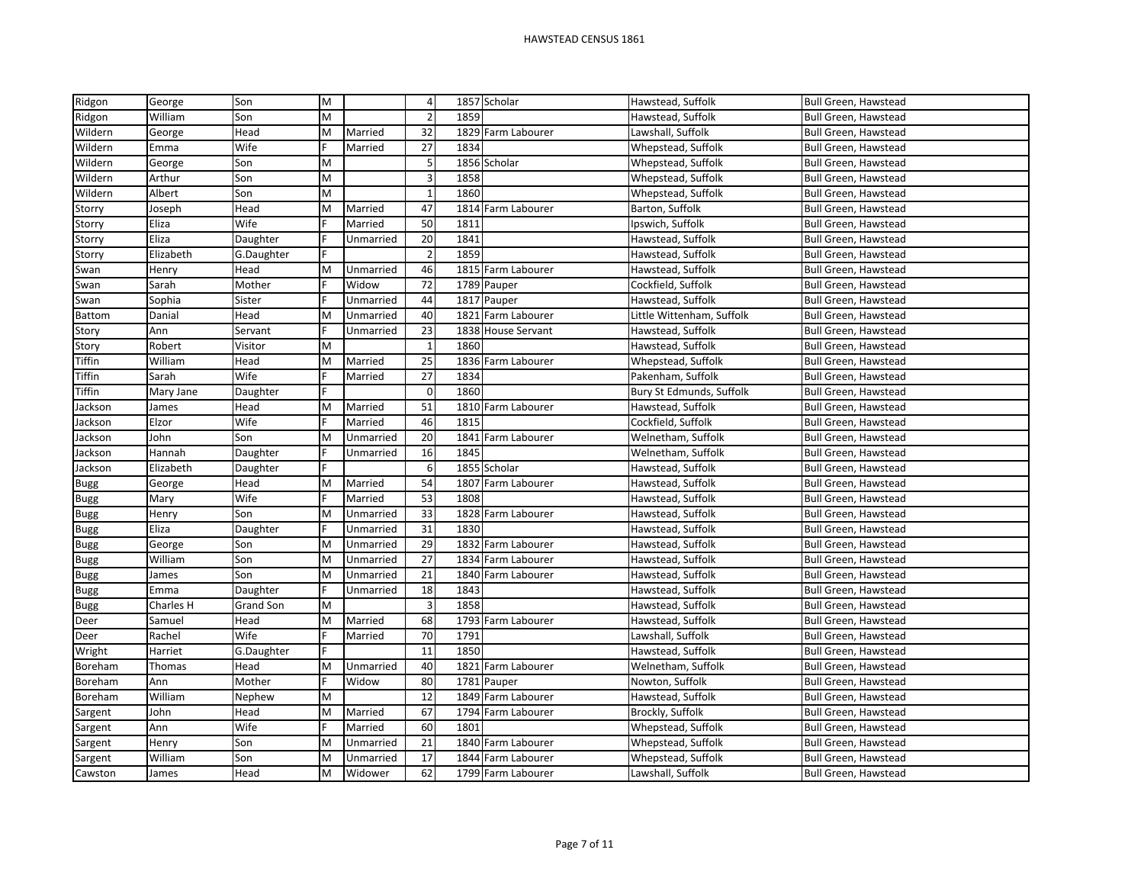| Ridgon         | George    | Son        | M |           | $\overline{4}$ |      | 1857 Scholar       | Hawstead, Suffolk         | <b>Bull Green, Hawstead</b> |
|----------------|-----------|------------|---|-----------|----------------|------|--------------------|---------------------------|-----------------------------|
| Ridgon         | William   | Son        | M |           | $\overline{2}$ | 1859 |                    | Hawstead, Suffolk         | <b>Bull Green, Hawstead</b> |
| Wildern        | George    | Head       | M | Married   | 32             |      | 1829 Farm Labourer | Lawshall, Suffolk         | <b>Bull Green, Hawstead</b> |
| Wildern        | Emma      | Wife       |   | Married   | 27             | 1834 |                    | Whepstead, Suffolk        | <b>Bull Green, Hawstead</b> |
| Wildern        | George    | Son        | M |           | 5              |      | 1856 Scholar       | Whepstead, Suffolk        | <b>Bull Green, Hawstead</b> |
| Wildern        | Arthur    | Son        | M |           | 3              | 1858 |                    | Whepstead, Suffolk        | <b>Bull Green, Hawstead</b> |
| Wildern        | Albert    | Son        | M |           | $\mathbf{1}$   | 1860 |                    | Whepstead, Suffolk        | Bull Green, Hawstead        |
| Storry         | Joseph    | Head       | M | Married   | 47             |      | 1814 Farm Labourer | Barton, Suffolk           | <b>Bull Green, Hawstead</b> |
| Storry         | Eliza     | Wife       |   | Married   | 50             | 1811 |                    | Ipswich, Suffolk          | <b>Bull Green, Hawstead</b> |
| Storry         | Eliza     | Daughter   |   | Unmarried | 20             | 1841 |                    | Hawstead, Suffolk         | <b>Bull Green, Hawstead</b> |
| Storry         | Elizabeth | G.Daughter |   |           | $\overline{2}$ | 1859 |                    | Hawstead, Suffolk         | <b>Bull Green, Hawstead</b> |
| Swan           | Henry     | Head       | M | Unmarried | 46             |      | 1815 Farm Labourer | Hawstead, Suffolk         | <b>Bull Green, Hawstead</b> |
| Swan           | Sarah     | Mother     |   | Widow     | 72             |      | 1789 Pauper        | Cockfield, Suffolk        | <b>Bull Green, Hawstead</b> |
| Swan           | Sophia    | Sister     |   | Unmarried | 44             |      | 1817 Pauper        | Hawstead, Suffolk         | <b>Bull Green, Hawstead</b> |
| <b>Battom</b>  | Danial    | Head       |   | Unmarried | 40             |      | 1821 Farm Labourer | Little Wittenham, Suffolk | <b>Bull Green, Hawstead</b> |
| Story          | Ann       | Servant    |   | Unmarried | 23             |      | 1838 House Servant | Hawstead, Suffolk         | <b>Bull Green, Hawstead</b> |
| Story          | Robert    | Visitor    | M |           | $\mathbf{1}$   | 1860 |                    | Hawstead, Suffolk         | <b>Bull Green, Hawstead</b> |
| Tiffin         | William   | Head       | M | Married   | 25             |      | 1836 Farm Labourer | Whepstead, Suffolk        | <b>Bull Green, Hawstead</b> |
| Tiffin         | Sarah     | Wife       |   | Married   | 27             | 1834 |                    | Pakenham, Suffolk         | <b>Bull Green, Hawstead</b> |
| Tiffin         | Mary Jane | Daughter   |   |           | $\mathbf 0$    | 1860 |                    | Bury St Edmunds, Suffolk  | <b>Bull Green, Hawstead</b> |
| Jackson        | James     | Head       | M | Married   | 51             |      | 1810 Farm Labourer | Hawstead, Suffolk         | <b>Bull Green, Hawstead</b> |
| Jackson        | Elzor     | Wife       |   | Married   | 46             | 1815 |                    | Cockfield, Suffolk        | Bull Green, Hawstead        |
| Jackson        | John      | Son        | M | Unmarried | 20             |      | 1841 Farm Labourer | Welnetham, Suffolk        | <b>Bull Green, Hawstead</b> |
| Jackson        | Hannah    | Daughter   |   | Unmarried | 16             | 1845 |                    | Welnetham, Suffolk        | <b>Bull Green, Hawstead</b> |
| Jackson        | Elizabeth | Daughter   |   |           | 6              |      | 1855 Scholar       | Hawstead, Suffolk         | <b>Bull Green, Hawstead</b> |
| <b>Bugg</b>    | George    | Head       | M | Married   | 54             |      | 1807 Farm Labourer | Hawstead, Suffolk         | <b>Bull Green, Hawstead</b> |
| <b>Bugg</b>    | Mary      | Wife       |   | Married   | 53             | 1808 |                    | Hawstead, Suffolk         | Bull Green, Hawstead        |
| <b>Bugg</b>    | Henry     | Son        | M | Unmarried | 33             |      | 1828 Farm Labourer | Hawstead, Suffolk         | <b>Bull Green, Hawstead</b> |
| <b>Bugg</b>    | Eliza     | Daughter   |   | Unmarried | 31             | 1830 |                    | Hawstead, Suffolk         | <b>Bull Green, Hawstead</b> |
| <b>Bugg</b>    | George    | Son        | M | Unmarried | 29             |      | 1832 Farm Labourer | Hawstead, Suffolk         | <b>Bull Green, Hawstead</b> |
| <b>Bugg</b>    | William   | Son        | M | Unmarried | 27             |      | 1834 Farm Labourer | Hawstead, Suffolk         | <b>Bull Green, Hawstead</b> |
| <b>Bugg</b>    | James     | Son        | M | Unmarried | 21             |      | 1840 Farm Labourer | Hawstead, Suffolk         | <b>Bull Green, Hawstead</b> |
| <b>Bugg</b>    | Emma      | Daughter   |   | Unmarried | 18             | 1843 |                    | Hawstead, Suffolk         | <b>Bull Green, Hawstead</b> |
| <b>Bugg</b>    | Charles H | Grand Son  | M |           | 3              | 1858 |                    | Hawstead, Suffolk         | <b>Bull Green, Hawstead</b> |
| Deer           | Samuel    | Head       | M | Married   | 68             |      | 1793 Farm Labourer | Hawstead, Suffolk         | <b>Bull Green, Hawstead</b> |
| Deer           | Rachel    | Wife       |   | Married   | 70             | 1791 |                    | Lawshall, Suffolk         | <b>Bull Green, Hawstead</b> |
| Wright         | Harriet   | G.Daughter | F |           | 11             | 1850 |                    | Hawstead, Suffolk         | <b>Bull Green, Hawstead</b> |
| Boreham        | Thomas    | Head       | M | Unmarried | 40             |      | 1821 Farm Labourer | Welnetham, Suffolk        | <b>Bull Green, Hawstead</b> |
| Boreham        | Ann       | Mother     |   | Widow     | 80             |      | 1781 Pauper        | Nowton, Suffolk           | <b>Bull Green, Hawstead</b> |
| <b>Boreham</b> | William   | Nephew     | M |           | 12             |      | 1849 Farm Labourer | Hawstead, Suffolk         | <b>Bull Green, Hawstead</b> |
| Sargent        | John      | Head       | M | Married   | 67             |      | 1794 Farm Labourer | Brockly, Suffolk          | <b>Bull Green, Hawstead</b> |
| Sargent        | Ann       | Wife       |   | Married   | 60             | 1801 |                    | Whepstead, Suffolk        | <b>Bull Green, Hawstead</b> |
| Sargent        | Henry     | Son        | M | Unmarried | 21             |      | 1840 Farm Labourer | Whepstead, Suffolk        | <b>Bull Green, Hawstead</b> |
| Sargent        | William   | Son        | M | Unmarried | 17             |      | 1844 Farm Labourer | Whepstead, Suffolk        | <b>Bull Green, Hawstead</b> |
| Cawston        | James     | Head       | M | Widower   | 62             |      | 1799 Farm Labourer | Lawshall, Suffolk         | <b>Bull Green, Hawstead</b> |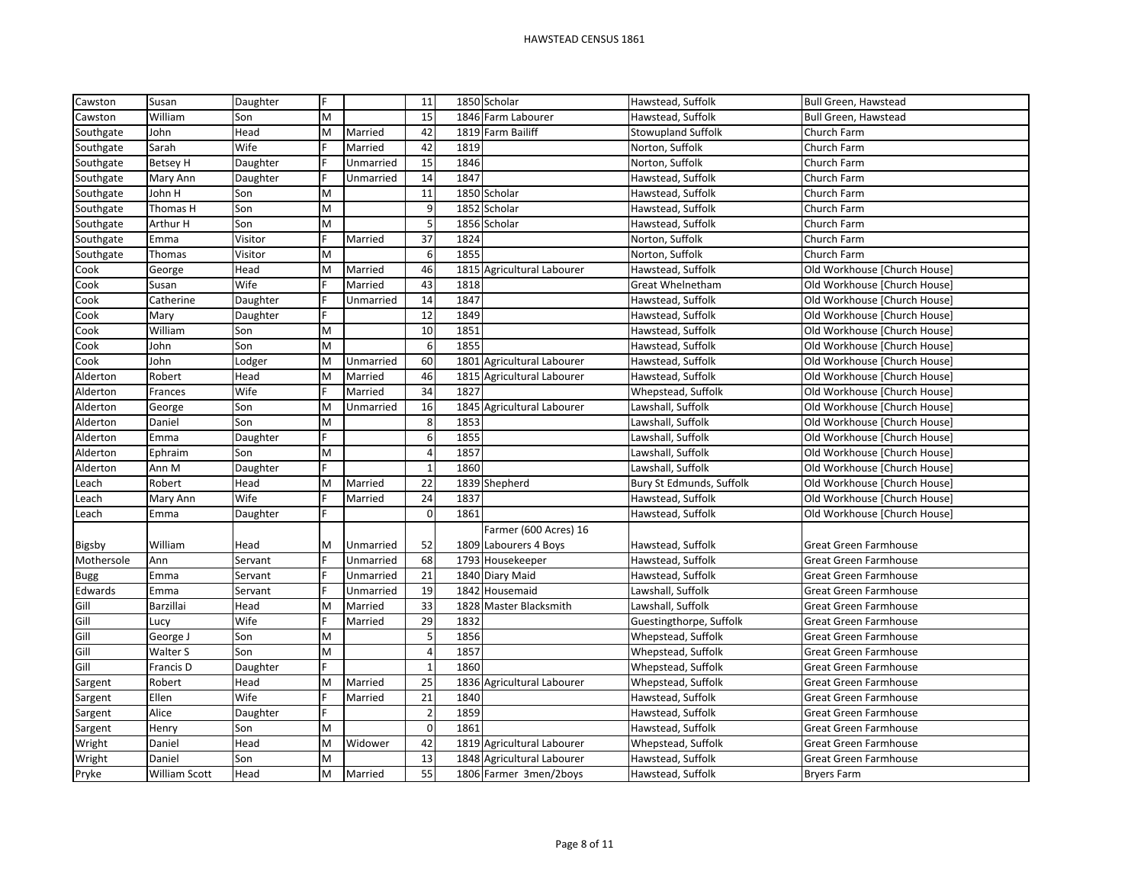| Cawston       | Susan           | Daughter | IF  |           | 11               |      | 1850 Scholar               | Hawstead, Suffolk         | <b>Bull Green, Hawstead</b>  |
|---------------|-----------------|----------|-----|-----------|------------------|------|----------------------------|---------------------------|------------------------------|
| Cawston       | William         | Son      | M   |           | 15               |      | 1846 Farm Labourer         | Hawstead, Suffolk         | <b>Bull Green, Hawstead</b>  |
| Southgate     | John            | Head     | M   | Married   | 42               |      | 1819 Farm Bailiff          | <b>Stowupland Suffolk</b> | Church Farm                  |
| Southgate     | Sarah           | Wife     |     | Married   | 42               | 1819 |                            | Norton, Suffolk           | Church Farm                  |
| Southgate     | <b>Betsey H</b> | Daughter |     | Unmarried | 15               | 1846 |                            | Norton, Suffolk           | Church Farm                  |
| Southgate     | Mary Ann        | Daughter |     | Unmarried | 14               | 1847 |                            | Hawstead, Suffolk         | Church Farm                  |
| Southgate     | John H          | Son      | M   |           | $\overline{11}$  |      | 1850 Scholar               | Hawstead, Suffolk         | Church Farm                  |
| Southgate     | Thomas H        | Son      | M   |           | 9                |      | 1852 Scholar               | Hawstead, Suffolk         | Church Farm                  |
| Southgate     | Arthur H        | Son      | M   |           | 5                |      | 1856 Scholar               | Hawstead, Suffolk         | Church Farm                  |
| Southgate     | Emma            | Visitor  |     | Married   | 37               | 1824 |                            | Norton, Suffolk           | Church Farm                  |
| Southgate     | Thomas          | Visitor  | M   |           | $6 \overline{6}$ | 1855 |                            | Norton, Suffolk           | Church Farm                  |
| Cook          | George          | Head     | M   | Married   | 46               |      | 1815 Agricultural Labourer | Hawstead, Suffolk         | Old Workhouse [Church House] |
| Cook          | Susan           | Wife     |     | Married   | 43               | 1818 |                            | Great Whelnetham          | Old Workhouse [Church House] |
| Cook          | Catherine       | Daughter | IF  | Unmarried | 14               | 1847 |                            | Hawstead, Suffolk         | Old Workhouse [Church House] |
| Cook          | Mary            | Daughter |     |           | $\overline{12}$  | 1849 |                            | Hawstead, Suffolk         | Old Workhouse [Church House] |
| Cook          | William         | Son      | M   |           | 10               | 1851 |                            | Hawstead, Suffolk         | Old Workhouse [Church House] |
| Cook          | John            | Son      | M   |           | 6                | 1855 |                            | Hawstead, Suffolk         | Old Workhouse [Church House] |
| Cook          | John            | Lodger   | M   | Unmarried | 60               |      | 1801 Agricultural Labourer | Hawstead, Suffolk         | Old Workhouse [Church House] |
| Alderton      | Robert          | Head     | M   | Married   | 46               |      | 1815 Agricultural Labourer | Hawstead, Suffolk         | Old Workhouse [Church House] |
| Alderton      | Frances         | Wife     |     | Married   | 34               | 1827 |                            | Whepstead, Suffolk        | Old Workhouse [Church House] |
| Alderton      | George          | Son      | M   | Unmarried | 16               |      | 1845 Agricultural Labourer | Lawshall, Suffolk         | Old Workhouse [Church House] |
| Alderton      | Daniel          | Son      | M   |           | 8                | 1853 |                            | Lawshall, Suffolk         | Old Workhouse [Church House] |
| Alderton      | Emma            | Daughter |     |           | 6                | 1855 |                            | Lawshall, Suffolk         | Old Workhouse [Church House] |
| Alderton      | Ephraim         | Son      | M   |           | $\overline{a}$   | 1857 |                            | Lawshall, Suffolk         | Old Workhouse [Church House] |
| Alderton      | Ann M           | Daughter |     |           | $\mathbf{1}$     | 1860 |                            | Lawshall, Suffolk         | Old Workhouse [Church House] |
| Leach         | Robert          | Head     | M   | Married   | 22               |      | 1839 Shepherd              | Bury St Edmunds, Suffolk  | Old Workhouse [Church House] |
| Leach         | Mary Ann        | Wife     |     | Married   | 24               | 1837 |                            | Hawstead, Suffolk         | Old Workhouse [Church House] |
| Leach         | Emma            | Daughter | l F |           | $\Omega$         | 1861 |                            | Hawstead, Suffolk         | Old Workhouse [Church House] |
|               |                 |          |     |           |                  |      | Farmer (600 Acres) 16      |                           |                              |
| <b>Bigsby</b> | William         | Head     | ΙM  | Unmarried | 52               |      | 1809 Labourers 4 Boys      | Hawstead, Suffolk         | Great Green Farmhouse        |
| Mothersole    | Ann             | Servant  |     | Unmarried | 68               |      | 1793 Housekeeper           | Hawstead, Suffolk         | <b>Great Green Farmhouse</b> |
| <b>Bugg</b>   | Emma            | Servant  |     | Unmarried | 21               |      | 1840 Diary Maid            | Hawstead, Suffolk         | Great Green Farmhouse        |
| Edwards       | Emma            | Servant  |     | Unmarried | 19               |      | 1842 Housemaid             | Lawshall, Suffolk         | <b>Great Green Farmhouse</b> |
| Gill          | Barzillai       | Head     | M   | Married   | 33               |      | 1828 Master Blacksmith     | Lawshall, Suffolk         | <b>Great Green Farmhouse</b> |
| Gill          | Lucy            | Wife     |     | Married   | 29               | 1832 |                            | Guestingthorpe, Suffolk   | Great Green Farmhouse        |
| Gill          | George J        | Son      | M   |           | $5\overline{)}$  | 1856 |                            | Whepstead, Suffolk        | Great Green Farmhouse        |
| Gill          | Walter S        | Son      | M   |           | $\overline{4}$   | 1857 |                            | Whepstead, Suffolk        | <b>Great Green Farmhouse</b> |
| Gill          | Francis D       | Daughter |     |           |                  | 1860 |                            | Whepstead, Suffolk        | Great Green Farmhouse        |
| Sargent       | Robert          | Head     | M   | Married   | 25               |      | 1836 Agricultural Labourer | Whepstead, Suffolk        | Great Green Farmhouse        |
| Sargent       | Ellen           | Wife     |     | Married   | 21               | 1840 |                            | Hawstead, Suffolk         | Great Green Farmhouse        |
| Sargent       | Alice           | Daughter |     |           | $\overline{2}$   | 1859 |                            | Hawstead, Suffolk         | <b>Great Green Farmhouse</b> |
| Sargent       | Henry           | Son      | M   |           | $\mathbf{0}$     | 1861 |                            | Hawstead, Suffolk         | Great Green Farmhouse        |
| Wright        | Daniel          | Head     | M   | Widower   | 42               |      | 1819 Agricultural Labourer | Whepstead, Suffolk        | Great Green Farmhouse        |
| Wright        | Daniel          | Son      | M   |           | 13               |      | 1848 Agricultural Labourer | Hawstead, Suffolk         | Great Green Farmhouse        |
| Pryke         | William Scott   | Head     | M   | Married   | 55               |      | 1806 Farmer 3men/2boys     | Hawstead, Suffolk         | <b>Bryers Farm</b>           |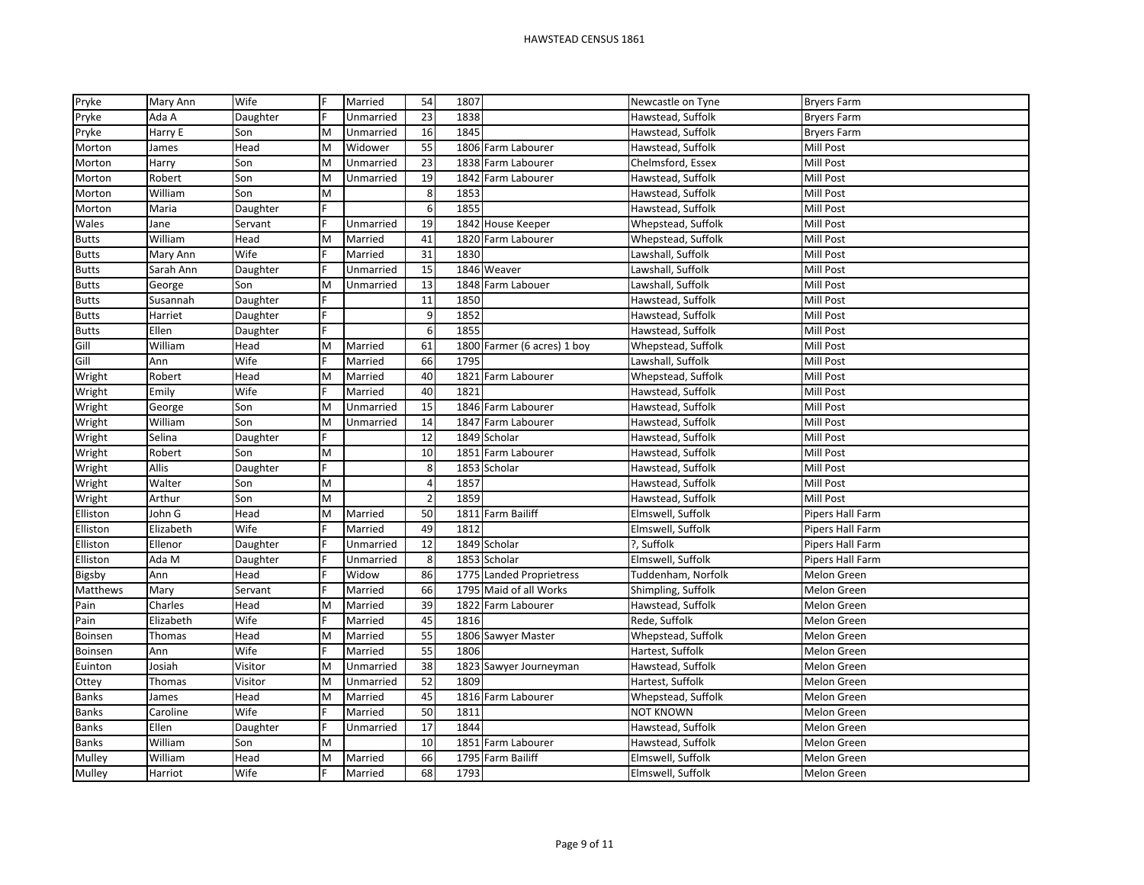| Pryke          | Mary Ann  | Wife     |   | Married   | 54 | 1807                        | Newcastle on Tyne  | <b>Bryers Farm</b> |
|----------------|-----------|----------|---|-----------|----|-----------------------------|--------------------|--------------------|
| Pryke          | Ada A     | Daughter |   | Unmarried | 23 | 1838                        | Hawstead, Suffolk  | <b>Bryers Farm</b> |
| Pryke          | Harry E   | Son      | M | Unmarried | 16 | 1845                        | Hawstead, Suffolk  | <b>Bryers Farm</b> |
| Morton         | James     | Head     | M | Widower   | 55 | 1806 Farm Labourer          | Hawstead, Suffolk  | Mill Post          |
| Morton         | Harry     | Son      | M | Unmarried | 23 | 1838 Farm Labourer          | Chelmsford, Essex  | Mill Post          |
| Morton         | Robert    | Son      | M | Unmarried | 19 | 1842 Farm Labourer          | Hawstead, Suffolk  | Mill Post          |
| Morton         | William   | Son      | M |           | 8  | 1853                        | Hawstead, Suffolk  | Mill Post          |
| Morton         | Maria     | Daughter |   |           | 6  | 1855                        | Hawstead, Suffolk  | Mill Post          |
| Wales          | Jane      | Servant  |   | Unmarried | 19 | 1842 House Keeper           | Whepstead, Suffolk | Mill Post          |
| <b>Butts</b>   | William   | Head     | M | Married   | 41 | 1820 Farm Labourer          | Whepstead, Suffolk | Mill Post          |
| <b>Butts</b>   | Mary Ann  | Wife     |   | Married   | 31 | 1830                        | Lawshall, Suffolk  | Mill Post          |
| <b>Butts</b>   | Sarah Ann | Daughter |   | Unmarried | 15 | $1846$ Weaver               | Lawshall, Suffolk  | Mill Post          |
| <b>Butts</b>   | George    | Son      | M | Unmarried | 13 | 1848 Farm Labouer           | Lawshall, Suffolk  | Mill Post          |
| <b>Butts</b>   | Susannah  | Daughter |   |           | 11 | 1850                        | Hawstead, Suffolk  | Mill Post          |
| <b>Butts</b>   | Harriet   | Daughter |   |           | 9  | 1852                        | Hawstead, Suffolk  | Mill Post          |
| Butts          | Ellen     | Daughter |   |           | 6  | 1855                        | Hawstead, Suffolk  | Mill Post          |
| Gill           | William   | Head     | M | Married   | 61 | 1800 Farmer (6 acres) 1 boy | Whepstead, Suffolk | Mill Post          |
| Gill           | Ann       | Wife     |   | Married   | 66 | 1795                        | Lawshall, Suffolk  | Mill Post          |
| Wright         | Robert    | Head     | M | Married   | 40 | 1821 Farm Labourer          | Whepstead, Suffolk | Mill Post          |
| Wright         | Emily     | Wife     |   | Married   | 40 | 1821                        | Hawstead, Suffolk  | Mill Post          |
| Wright         | George    | Son      | M | Unmarried | 15 | 1846 Farm Labourer          | Hawstead, Suffolk  | Mill Post          |
| Wright         | William   | Son      | M | Unmarried | 14 | 1847 Farm Labourer          | Hawstead, Suffolk  | Mill Post          |
| Wright         | Selina    | Daughter |   |           | 12 | 1849 Scholar                | Hawstead, Suffolk  | Mill Post          |
| Wright         | Robert    | Son      | M |           | 10 | 1851 Farm Labourer          | Hawstead, Suffolk  | Mill Post          |
| Wright         | Allis     | Daughter |   |           | 8  | 1853 Scholar                | Hawstead, Suffolk  | Mill Post          |
| Wright         | Walter    | Son      | M |           |    | 1857                        | Hawstead, Suffolk  | Mill Post          |
| Wright         | Arthur    | Son      | M |           |    | 1859                        | Hawstead, Suffolk  | Mill Post          |
| Elliston       | John G    | Head     | M | Married   | 50 | 1811 Farm Bailiff           | Elmswell, Suffolk  | Pipers Hall Farm   |
| Elliston       | Elizabeth | Wife     |   | Married   | 49 | 1812                        | Elmswell, Suffolk  | Pipers Hall Farm   |
| Elliston       | Ellenor   | Daughter |   | Unmarried | 12 | 1849 Scholar                | ?. Suffolk         | Pipers Hall Farm   |
| Elliston       | Ada M     | Daughter |   | Unmarried | 8  | 1853 Scholar                | Elmswell, Suffolk  | Pipers Hall Farm   |
| Bigsby         | Ann       | Head     |   | Widow     | 86 | 1775 Landed Proprietress    | Tuddenham, Norfolk | Melon Green        |
| Matthews       | Mary      | Servant  |   | Married   | 66 | 1795 Maid of all Works      | Shimpling, Suffolk | Melon Green        |
| Pain           | Charles   | Head     | M | Married   | 39 | 1822 Farm Labourer          | Hawstead, Suffolk  | Melon Green        |
| Pain           | Elizabeth | Wife     |   | Married   | 45 | 1816                        | Rede, Suffolk      | Melon Green        |
| Boinsen        | Thomas    | Head     | M | Married   | 55 | 1806 Sawyer Master          | Whepstead, Suffolk | Melon Green        |
| <b>Boinsen</b> | Ann       | Wife     |   | Married   | 55 | 1806                        | Hartest, Suffolk   | Melon Green        |
| Euinton        | Josiah    | Visitor  | M | Unmarried | 38 | 1823 Sawyer Journeyman      | Hawstead, Suffolk  | Melon Green        |
| Ottey          | Thomas    | Visitor  | M | Unmarried | 52 | 1809                        | Hartest, Suffolk   | Melon Green        |
| Banks          | James     | Head     | M | Married   | 45 | 1816 Farm Labourer          | Whepstead, Suffolk | Melon Green        |
| <b>Banks</b>   | Caroline  | Wife     |   | Married   | 50 | 1811                        | <b>NOT KNOWN</b>   | Melon Green        |
| <b>Banks</b>   | Ellen     | Daughter |   | Unmarried | 17 | 1844                        | Hawstead, Suffolk  | Melon Green        |
| <b>Banks</b>   | William   | Son      | M |           | 10 | 1851 Farm Labourer          | Hawstead, Suffolk  | Melon Green        |
| Mulley         | William   | Head     | M | Married   | 66 | 1795 Farm Bailiff           | Elmswell, Suffolk  | Melon Green        |
| Mulley         | Harriot   | Wife     |   | Married   | 68 | 1793                        | Elmswell, Suffolk  | Melon Green        |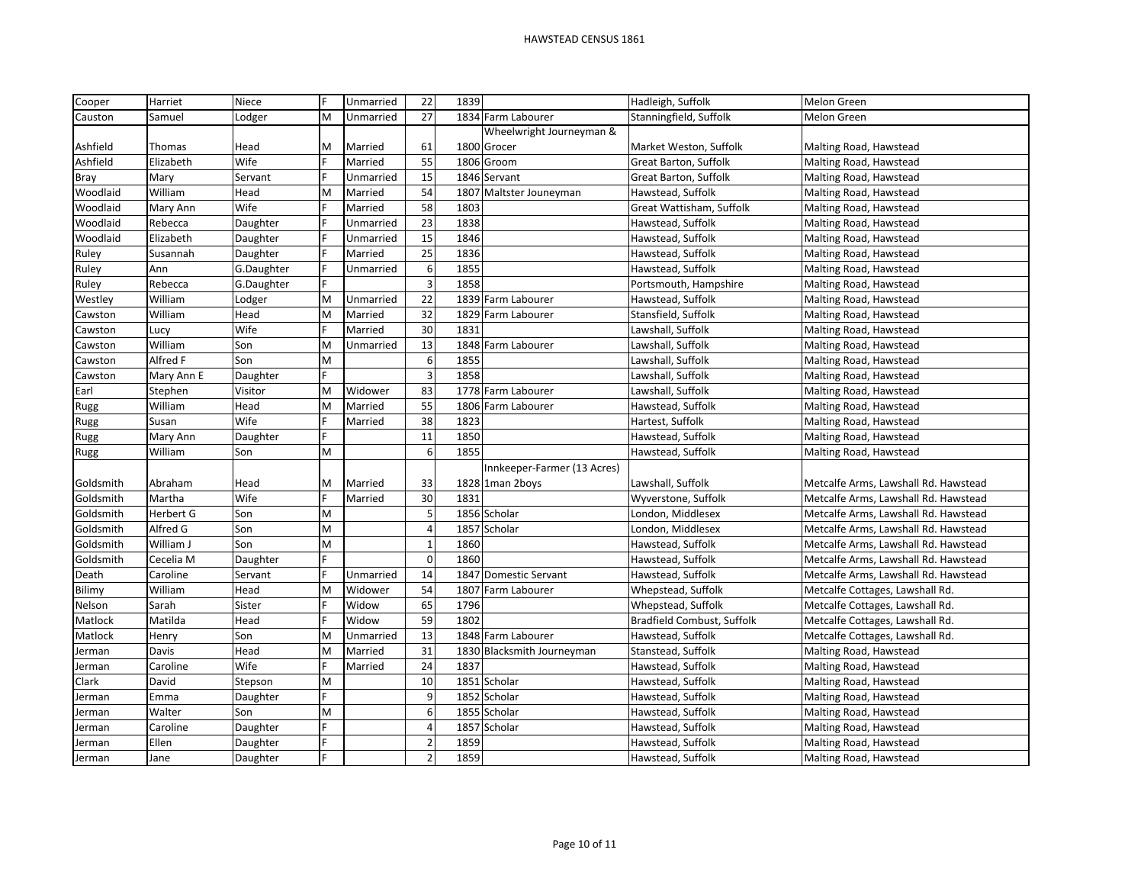| Cooper    | Harriet    | Niece      | F | Unmarried | 22             | 1839 |                             | Hadleigh, Suffolk            | Melon Green                          |
|-----------|------------|------------|---|-----------|----------------|------|-----------------------------|------------------------------|--------------------------------------|
| Causton   | Samuel     | Lodger     | M | Unmarried | 27             |      | 1834 Farm Labourer          | Stanningfield, Suffolk       | <b>Melon Green</b>                   |
|           |            |            |   |           |                |      | Wheelwright Journeyman &    |                              |                                      |
| Ashfield  | Thomas     | Head       | M | Married   | 61             |      | 1800 Grocer                 | Market Weston, Suffolk       | Malting Road, Hawstead               |
| Ashfield  | Elizabeth  | Wife       |   | Married   | 55             |      | 1806 Groom                  | <b>Great Barton, Suffolk</b> | Malting Road, Hawstead               |
| Bray      | Mary       | Servant    |   | Unmarried | 15             |      | 1846 Servant                | Great Barton, Suffolk        | Malting Road, Hawstead               |
| Woodlaid  | William    | Head       | M | Married   | 54             | 1807 | Maltster Jouneyman          | Hawstead, Suffolk            | Malting Road, Hawstead               |
| Woodlaid  | Mary Ann   | Wife       |   | Married   | 58             | 1803 |                             | Great Wattisham, Suffolk     | Malting Road, Hawstead               |
| Woodlaid  | Rebecca    | Daughter   |   | Unmarried | 23             | 1838 |                             | Hawstead, Suffolk            | Malting Road, Hawstead               |
| Woodlaid  | Elizabeth  | Daughter   |   | Unmarried | 15             | 1846 |                             | Hawstead, Suffolk            | Malting Road, Hawstead               |
| Ruley     | Susannah   | Daughter   |   | Married   | 25             | 1836 |                             | Hawstead, Suffolk            | Malting Road, Hawstead               |
| Ruley     | Ann        | G.Daughter |   | Unmarried | 6              | 1855 |                             | Hawstead, Suffolk            | Malting Road, Hawstead               |
| Ruley     | Rebecca    | G.Daughter | F |           | $\overline{3}$ | 1858 |                             | Portsmouth, Hampshire        | Malting Road, Hawstead               |
| Westley   | William    | Lodger     | M | Unmarried | 22             |      | 1839 Farm Labourer          | Hawstead, Suffolk            | Malting Road, Hawstead               |
| Cawston   | William    | Head       | M | Married   | 32             |      | 1829 Farm Labourer          | Stansfield, Suffolk          | Malting Road, Hawstead               |
| Cawston   | Lucy       | Wife       |   | Married   | 30             | 1831 |                             | Lawshall, Suffolk            | Malting Road, Hawstead               |
| Cawston   | William    | Son        | M | Unmarried | 13             |      | 1848 Farm Labourer          | Lawshall, Suffolk            | Malting Road, Hawstead               |
| Cawston   | Alfred F   | Son        | M |           | $6\phantom{1}$ | 1855 |                             | Lawshall, Suffolk            | Malting Road, Hawstead               |
| Cawston   | Mary Ann E | Daughter   |   |           | $\overline{3}$ | 1858 |                             | Lawshall, Suffolk            | Malting Road, Hawstead               |
| Earl      | Stephen    | Visitor    | M | Widower   | 83             |      | 1778 Farm Labourer          | Lawshall, Suffolk            | Malting Road, Hawstead               |
| Rugg      | William    | Head       | M | Married   | 55             |      | 1806 Farm Labourer          | Hawstead, Suffolk            | Malting Road, Hawstead               |
| Rugg      | Susan      | Wife       |   | Married   | 38             | 1823 |                             | Hartest, Suffolk             | Malting Road, Hawstead               |
| Rugg      | Mary Ann   | Daughter   |   |           | 11             | 1850 |                             | Hawstead, Suffolk            | Malting Road, Hawstead               |
| Rugg      | William    | Son        | M |           | 6              | 1855 |                             | Hawstead, Suffolk            | Malting Road, Hawstead               |
|           |            |            |   |           |                |      | Innkeeper-Farmer (13 Acres) |                              |                                      |
| Goldsmith | Abraham    | Head       | M | Married   | 33             |      | 1828 1man 2boys             | Lawshall, Suffolk            | Metcalfe Arms, Lawshall Rd. Hawstead |
| Goldsmith | Martha     | Wife       |   | Married   | 30             | 1831 |                             | Wyverstone, Suffolk          | Metcalfe Arms, Lawshall Rd. Hawstead |
| Goldsmith | Herbert G  | Son        | M |           | 5              |      | 1856 Scholar                | London, Middlesex            | Metcalfe Arms, Lawshall Rd. Hawstead |
| Goldsmith | Alfred G   | Son        | M |           | $\overline{4}$ |      | 1857 Scholar                | London, Middlesex            | Metcalfe Arms, Lawshall Rd. Hawstead |
| Goldsmith | William J  | Son        | M |           | $\mathbf{1}$   | 1860 |                             | Hawstead, Suffolk            | Metcalfe Arms, Lawshall Rd. Hawstead |
| Goldsmith | Cecelia M  | Daughter   |   |           | $\mathbf 0$    | 1860 |                             | Hawstead, Suffolk            | Metcalfe Arms, Lawshall Rd. Hawstead |
| Death     | Caroline   | Servant    |   | Unmarried | 14             |      | 1847 Domestic Servant       | Hawstead, Suffolk            | Metcalfe Arms, Lawshall Rd. Hawstead |
| Bilimy    | William    | Head       | M | Widower   | 54             |      | 1807 Farm Labourer          | Whepstead, Suffolk           | Metcalfe Cottages, Lawshall Rd.      |
| Nelson    | Sarah      | Sister     |   | Widow     | 65             | 1796 |                             | Whepstead, Suffolk           | Metcalfe Cottages, Lawshall Rd.      |
| Matlock   | Matilda    | Head       |   | Widow     | 59             | 1802 |                             | Bradfield Combust, Suffolk   | Metcalfe Cottages, Lawshall Rd.      |
| Matlock   | Henry      | Son        | M | Unmarried | 13             |      | 1848 Farm Labourer          | Hawstead, Suffolk            | Metcalfe Cottages, Lawshall Rd.      |
| Jerman    | Davis      | Head       | M | Married   | 31             |      | 1830 Blacksmith Journeyman  | Stanstead, Suffolk           | Malting Road, Hawstead               |
| Jerman    | Caroline   | Wife       |   | Married   | 24             | 1837 |                             | Hawstead, Suffolk            | Malting Road, Hawstead               |
| Clark     | David      | Stepson    | M |           | 10             |      | 1851 Scholar                | Hawstead, Suffolk            | Malting Road, Hawstead               |
| Jerman    | Emma       | Daughter   |   |           | 9              |      | 1852 Scholar                | Hawstead, Suffolk            | Malting Road, Hawstead               |
| Jerman    | Walter     | Son        | M |           | $6\phantom{1}$ |      | 1855 Scholar                | Hawstead, Suffolk            | Malting Road, Hawstead               |
| Jerman    | Caroline   | Daughter   |   |           | $\overline{4}$ |      | 1857 Scholar                | Hawstead, Suffolk            | Malting Road, Hawstead               |
| Jerman    | Ellen      | Daughter   | F |           | $\overline{2}$ | 1859 |                             | Hawstead, Suffolk            | Malting Road, Hawstead               |
| Jerman    | Jane       | Daughter   | E |           | $\mathfrak{p}$ | 1859 |                             | Hawstead, Suffolk            | Malting Road, Hawstead               |